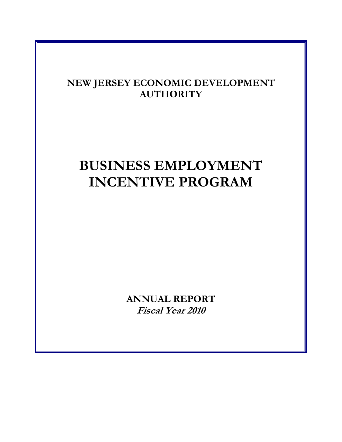# **NEW JERSEY ECONOMIC DEVELOPMENT AUTHORITY**

# **BUSINESS EMPLOYMENT INCENTIVE PROGRAM**

**ANNUAL REPORT Fiscal Year 2010**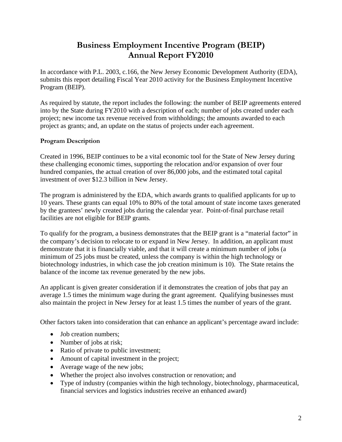# **Business Employment Incentive Program (BEIP) Annual Report FY2010**

In accordance with P.L. 2003, c.166, the New Jersey Economic Development Authority (EDA), submits this report detailing Fiscal Year 2010 activity for the Business Employment Incentive Program (BEIP).

As required by statute, the report includes the following: the number of BEIP agreements entered into by the State during FY2010 with a description of each; number of jobs created under each project; new income tax revenue received from withholdings; the amounts awarded to each project as grants; and, an update on the status of projects under each agreement.

# **Program Description**

Created in 1996, BEIP continues to be a vital economic tool for the State of New Jersey during these challenging economic times, supporting the relocation and/or expansion of over four hundred companies, the actual creation of over 86,000 jobs, and the estimated total capital investment of over \$12.3 billion in New Jersey.

The program is administered by the EDA, which awards grants to qualified applicants for up to 10 years. These grants can equal 10% to 80% of the total amount of state income taxes generated by the grantees' newly created jobs during the calendar year. Point-of-final purchase retail facilities are not eligible for BEIP grants.

To qualify for the program, a business demonstrates that the BEIP grant is a "material factor" in the company's decision to relocate to or expand in New Jersey. In addition, an applicant must demonstrate that it is financially viable, and that it will create a minimum number of jobs (a minimum of 25 jobs must be created, unless the company is within the high technology or biotechnology industries, in which case the job creation minimum is 10). The State retains the balance of the income tax revenue generated by the new jobs.

An applicant is given greater consideration if it demonstrates the creation of jobs that pay an average 1.5 times the minimum wage during the grant agreement. Qualifying businesses must also maintain the project in New Jersey for at least 1.5 times the number of years of the grant.

Other factors taken into consideration that can enhance an applicant's percentage award include:

- Job creation numbers;
- Number of jobs at risk;
- Ratio of private to public investment;
- Amount of capital investment in the project;
- Average wage of the new jobs;
- Whether the project also involves construction or renovation; and
- Type of industry (companies within the high technology, biotechnology, pharmaceutical, financial services and logistics industries receive an enhanced award)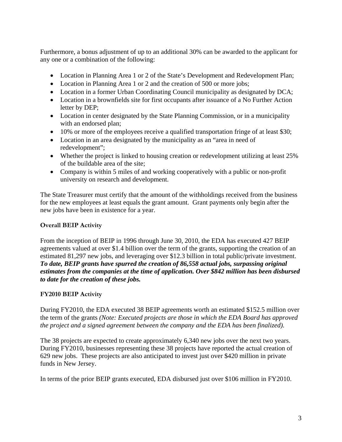Furthermore, a bonus adjustment of up to an additional 30% can be awarded to the applicant for any one or a combination of the following:

- Location in Planning Area 1 or 2 of the State's Development and Redevelopment Plan;
- Location in Planning Area 1 or 2 and the creation of 500 or more jobs;
- Location in a former Urban Coordinating Council municipality as designated by DCA;
- Location in a brownfields site for first occupants after issuance of a No Further Action letter by DEP;
- Location in center designated by the State Planning Commission, or in a municipality with an endorsed plan;
- 10% or more of the employees receive a qualified transportation fringe of at least \$30;
- Location in an area designated by the municipality as an "area in need of redevelopment";
- Whether the project is linked to housing creation or redevelopment utilizing at least 25% of the buildable area of the site;
- Company is within 5 miles of and working cooperatively with a public or non-profit university on research and development.

The State Treasurer must certify that the amount of the withholdings received from the business for the new employees at least equals the grant amount. Grant payments only begin after the new jobs have been in existence for a year.

# **Overall BEIP Activity**

From the inception of BEIP in 1996 through June 30, 2010, the EDA has executed 427 BEIP agreements valued at over \$1.4 billion over the term of the grants, supporting the creation of an estimated 81,297 new jobs, and leveraging over \$12.3 billion in total public/private investment. *To date, BEIP grants have spurred the creation of 86,558 actual jobs, surpassing original estimates from the companies at the time of application. Over \$842 million has been disbursed to date for the creation of these jobs.*

## **FY2010 BEIP Activity**

During FY2010, the EDA executed 38 BEIP agreements worth an estimated \$152.5 million over the term of the grants *(Note: Executed projects are those in which the EDA Board has approved the project and a signed agreement between the company and the EDA has been finalized).*

The 38 projects are expected to create approximately 6,340 new jobs over the next two years. During FY2010, businesses representing these 38 projects have reported the actual creation of 629 new jobs. These projects are also anticipated to invest just over \$420 million in private funds in New Jersey.

In terms of the prior BEIP grants executed, EDA disbursed just over \$106 million in FY2010.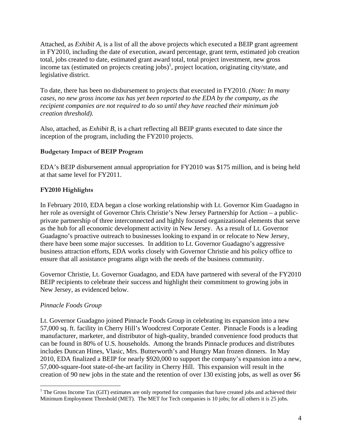Attached, as *Exhibit A*, is a list of all the above projects which executed a BEIP grant agreement in FY2010, including the date of execution, award percentage, grant term, estimated job creation total, jobs created to date, estimated grant award total, total project investment, new gross income tax (estimated on projects creating jobs)<sup>1</sup>, project location, originating city/state, and legislative district.

To date, there has been no disbursement to projects that executed in FY2010. *(Note: In many cases, no new gross income tax has yet been reported to the EDA by the company, as the recipient companies are not required to do so until they have reached their minimum job creation threshold).* 

Also, attached, as *Exhibit B*, is a chart reflecting all BEIP grants executed to date since the inception of the program, including the FY2010 projects.

# **Budgetary Impact of BEIP Program**

EDA's BEIP disbursement annual appropriation for FY2010 was \$175 million, and is being held at that same level for FY2011.

# **FY2010 Highlights**

In February 2010, EDA began a close working relationship with Lt. Governor Kim Guadagno in her role as oversight of Governor Chris Christie's New Jersey Partnership for Action – a publicprivate partnership of three interconnected and highly focused organizational elements that serve as the hub for all economic development activity in New Jersey. As a result of Lt. Governor Guadagno's proactive outreach to businesses looking to expand in or relocate to New Jersey, there have been some major successes. In addition to Lt. Governor Guadagno's aggressive business attraction efforts, EDA works closely with Governor Christie and his policy office to ensure that all assistance programs align with the needs of the business community.

Governor Christie, Lt. Governor Guadagno, and EDA have partnered with several of the FY2010 BEIP recipients to celebrate their success and highlight their commitment to growing jobs in New Jersey, as evidenced below.

## *Pinnacle Foods Group*

 $\overline{a}$ 

Lt. Governor Guadagno joined Pinnacle Foods Group in celebrating its expansion into a new 57,000 sq. ft. facility in Cherry Hill's Woodcrest Corporate Center. Pinnacle Foods is a leading manufacturer, marketer, and distributor of high-quality, branded convenience food products that can be found in 80% of U.S. households. Among the brands Pinnacle produces and distributes includes Duncan Hines, Vlasic, Mrs. Butterworth's and Hungry Man frozen dinners. In May 2010, EDA finalized a BEIP for nearly \$920,000 to support the company's expansion into a new, 57,000-square-foot state-of-the-art facility in Cherry Hill. This expansion will result in the creation of 90 new jobs in the state and the retention of over 130 existing jobs, as well as over \$6

 $1$ <sup>1</sup> The Gross Income Tax (GIT) estimates are only reported for companies that have created jobs and achieved their Minimum Employment Threshold (MET). The MET for Tech companies is 10 jobs; for all others it is 25 jobs.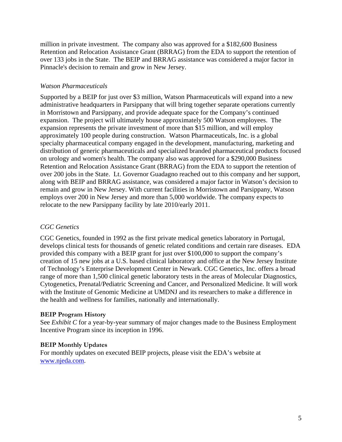million in private investment. The company also was approved for a \$182,600 Business Retention and Relocation Assistance Grant (BRRAG) from the EDA to support the retention of over 133 jobs in the State. The BEIP and BRRAG assistance was considered a major factor in Pinnacle's decision to remain and grow in New Jersey.

# *Watson Pharmaceuticals*

Supported by a BEIP for just over \$3 million, Watson Pharmaceuticals will expand into a new administrative headquarters in Parsippany that will bring together separate operations currently in Morristown and Parsippany, and provide adequate space for the Company's continued expansion. The project will ultimately house approximately 500 Watson employees. The expansion represents the private investment of more than \$15 million, and will employ approximately 100 people during construction. Watson Pharmaceuticals, Inc. is a global specialty pharmaceutical company engaged in the development, manufacturing, marketing and distribution of generic pharmaceuticals and specialized branded pharmaceutical products focused on urology and women's health. The company also was approved for a \$290,000 Business Retention and Relocation Assistance Grant (BRRAG) from the EDA to support the retention of over 200 jobs in the State. Lt. Governor Guadagno reached out to this company and her support, along with BEIP and BRRAG assistance, was considered a major factor in Watson's decision to remain and grow in New Jersey. With current facilities in Morristown and Parsippany, Watson employs over 200 in New Jersey and more than 5,000 worldwide. The company expects to relocate to the new Parsippany facility by late 2010/early 2011.

# *CGC Genetics*

CGC Genetics, founded in 1992 as the first private medical genetics laboratory in Portugal, develops clinical tests for thousands of genetic related conditions and certain rare diseases. EDA provided this company with a BEIP grant for just over \$100,000 to support the company's creation of 15 new jobs at a U.S. based clinical laboratory and office at the New Jersey Institute of Technology's Enterprise Development Center in Newark. CGC Genetics, Inc. offers a broad range of more than 1,500 clinical genetic laboratory tests in the areas of Molecular Diagnostics, Cytogenetics, Prenatal/Pediatric Screening and Cancer, and Personalized Medicine. It will work with the Institute of Genomic Medicine at UMDNJ and its researchers to make a difference in the health and wellness for families, nationally and internationally.

## **BEIP Program History**

See *Exhibit C* for a year-by-year summary of major changes made to the Business Employment Incentive Program since its inception in 1996.

## **BEIP Monthly Updates**

For monthly updates on executed BEIP projects, please visit the EDA's website at www.njeda.com.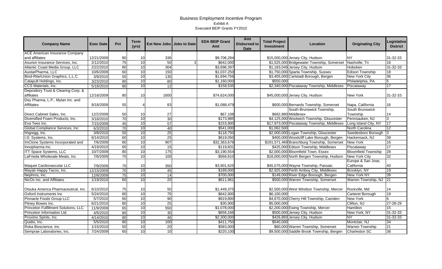| <b>Company Name</b>                   | <b>Exec Date</b> | Pct | <b>Term</b><br>(yrs) | Est New Jobs Jobs to Date | <b>EDA BEIP Grant</b><br>Amt | Amt<br><b>Disbursed to</b><br><b>Date</b> | <b>Total Project</b><br>Investment | Location                                    | <b>Originating City</b>    | Legislative<br><b>District</b> |
|---------------------------------------|------------------|-----|----------------------|---------------------------|------------------------------|-------------------------------------------|------------------------------------|---------------------------------------------|----------------------------|--------------------------------|
| <b>ACE American Insurance Company</b> |                  |     |                      |                           |                              |                                           |                                    |                                             |                            |                                |
| and affiliates                        | 12/21/2009       | 80  | 10                   | 336                       | \$9,706,284                  |                                           |                                    | \$15,000,000 Jersey City, Hudson            | <b>NY</b>                  | 31-32-33                       |
| Asurion Insurance Services, Inc.      | 2/12/2010        | 75  | 10                   | 50                        | \$642,000                    |                                           |                                    | \$1,525,000 Bridgewater Township, Somerset  | Nashville, Tn              | 16                             |
| Atlantic Coast Media Group, LLC       | 2/22/2010        | 80  | 10                   | 304                       | \$3,696,397                  |                                           |                                    | \$1,183,049 Jersey City, Hudson             | Hoboken                    | 31-32-33                       |
| AustarPharma, LLC                     | 10/6/2009        | 60  | 10                   | 150                       | \$1,037,250                  |                                           |                                    | \$1,750,000 Sparta Township, Sussex         | <b>Edison Township</b>     | 18                             |
| Bind-Rite/Union Graphics, L.L.C.      | 3/9/2010         | 55  | 10                   | 135                       | \$1,694,756                  |                                           |                                    | \$3,405,000 Carlstadt Borough, Bergen       | <b>New York City</b>       | 36                             |
| Catapult Holdings, Inc.               | 3/23/2010        | 80  | 10                   | 80                        | \$1,160,000                  |                                           | \$550,000                          |                                             | Philadelphia, PA           | 5                              |
| CCS Materials, Inc.                   | 5/18/2010        | 80  | 10                   | 12                        | \$158,535                    |                                           |                                    | \$2,340,000 Piscataway Township, Middlesex  | Piscataway                 | $\overline{17}$                |
| Depository Trust & Clearing Corp. &   |                  |     |                      |                           |                              |                                           |                                    |                                             |                            |                                |
| affiliates                            | 12/16/2009       | 80  | 10                   | 1600                      | \$74,624,000                 |                                           |                                    | \$45,000,000 Jersey City, Hudson            | New York                   | 31-32-33                       |
| Dey Pharma, L.P., Mylan Inc. and      |                  |     |                      |                           |                              |                                           |                                    |                                             |                            |                                |
| <b>Affiliates</b>                     | 9/18/2009        | 55  |                      | 83                        | \$1,088,479                  |                                           |                                    | \$600,000 Bernards Township, Somerset       | Napa, California           | 16                             |
|                                       |                  |     |                      |                           |                              |                                           |                                    | South Brunswick Township,                   | South Brunswick            |                                |
| Direct Cabinet Sales, Inc.            | 12/2/2009        | 50  | 10                   | $27\,$                    | \$67,108                     |                                           |                                    | \$682,880 Middlesex                         | Township                   | 14                             |
| Diversified Foam Products, Inc.       | 3/18/2010        | 70  | 10                   | 30                        | \$173,985                    |                                           |                                    | \$4,125,000 Woolwich Township, Gloucester   | Pennsauken, NJ             |                                |
| Eva Tees Inc.                         | 7/15/2009        | 45  | 10                   | 57                        | \$153,900                    |                                           |                                    | \$17,973,000 Piscataway Township, Middlesex | Long Island City, NY       | 17                             |
| Global Compliance Services, Inc.      | 6/3/2010         | 70  | 10                   | 40                        | \$541,000                    |                                           | \$1,062,500                        |                                             | <b>North Carolina</b>      | $\overline{12}$                |
| hhgregg, Inc.                         | 3/8/2010         | 50  | 10                   | 25                        | \$118,750                    |                                           |                                    | \$2,000,000 Logan Township, Gloucester      | Swedesboro Borough         | $\overline{\mathbf{3}}$        |
| I.D. Systems, Inc.                    | 6/14/2010        | 60  | 10                   | 25                        | \$619,050                    |                                           |                                    | \$400,000 Woodcliff Lake Borough, Bergen    | Hackensack, NJ             | 39                             |
| ImClone Systems Incorporated and      | 7/6/2009         | 80  | 10                   | 907                       | \$32,363,676                 |                                           |                                    | \$191,571,469 Branchburg Township, Somerset | <b>New York</b>            | 16                             |
| Innopharma Inc.                       | 4/19/2010        | 65  | 10                   | 15                        | \$119,831                    |                                           |                                    | \$425,000 Edison Township, Middlesex        | Piscataway                 | $\overline{17}$                |
| <b>ITT Space Systems, LLC</b>         | 10/7/2009        | 80  | 10                   | 175                       | \$3,190,554                  |                                           |                                    | \$2,000,000 Bloomfield Town, Essex          | <b>Bloomfield Township</b> | 28                             |
| LaFrieda Wholesale Meats, Inc         | 7/6/2009         | 70  | 10                   | 100                       | \$568,610                    |                                           |                                    | \$18,000,000 North Bergen Township, Hudson  | <b>New York City</b>       | $\overline{32}$                |
|                                       |                  |     |                      |                           |                              |                                           |                                    |                                             | Europe & San Jose,         |                                |
| Maquet Cardiovascular LLC             | 7/9/2009         | 70  | 10                   | 350                       | \$3,901,625                  |                                           |                                    | \$45,075,000 Wayne Township, Passaic        | California                 | 40                             |
| Mayab Happy Tacos, Inc.               | 12/15/2009       | 70  | 10                   | 45                        | \$189,000                    |                                           |                                    | \$2,925,000 Perth Amboy City, Middlesex     | Brooklyn, NY               | $\overline{19}$                |
| Nephros, Inc.                         | 12/8/2009        | 75  | 10                   | 14                        | \$700,000                    |                                           |                                    | \$149,000 River Edge Borough, Bergen        | <b>New York NY</b>         | 39                             |
| NicOx Inc. and Affiliates             | 1/19/2010        | 60  | 10                   | 20                        | \$611,961                    |                                           |                                    | \$500,000 Warren Township, Somerset         | Warren Township, NJ        | $\overline{21}$                |
| Otsuka America Pharmaceutical, Inc.   | 6/10/2010        | 75  | 10                   | 50                        | \$1,449,375                  |                                           |                                    | \$2,500,000 West Windsor Township, Mercer   | Rockville, Md              | 14                             |
| Oxford Instruments Inc                | 5/24/2010        | 80  | 10                   | 75                        | \$642,900                    |                                           | \$6,100,000                        |                                             | <b>Carteret Borough</b>    | $\overline{19}$                |
| Pinnacle Foods Group LLC              | 5/7/2010         | 60  | 10                   | 90                        | \$919,800                    |                                           |                                    | \$4,670,000 Cherry Hill Township, Camden    | New York                   |                                |
| Pitney Bowes Inc.                     | 6/21/2010        | 80  | 10                   | 25                        | \$30,900                     |                                           | \$5,000,000                        |                                             | Clifton, NJ                | 27-28-29                       |
| Princeton Fulfillment Solutions, LLC  | 11/9/2009        | 65  | 10                   | 550                       | \$1,078,000                  |                                           |                                    | \$2,200,000 Ewing Township, Mercer          | Hamilton                   | 15                             |
| Princeton Information Ltd.            | 4/5/2010         | 80  | 10                   | 30                        | \$656,166                    |                                           |                                    | \$500,000 Jersey City, Hudson               | New York, NY               | $31 - 32 - 33$                 |
| Proximo Spirits, Inc.                 | 4/14/2010        | 80  | 10                   | 46                        | \$2,300,000                  |                                           |                                    | \$426,893 Jersey City, Hudson               | <b>NY</b>                  | 31-32-33                       |
| Quidsi, Inc.                          | 5/5/2010         | 80  | 10                   | 100                       | \$411,750                    |                                           | \$540,000                          |                                             | Montclair, NJ              | 34                             |
| Roka Bioscience, Inc.                 | 1/15/2010        | 50  | 10                   | 20                        | \$583,000                    |                                           |                                    | \$80,000 Warren Township, Somerset          | <b>Warren Township</b>     | 21                             |
| Semprae Laboratories, Inc.            | 7/24/2009        | 60  | 10                   | 10                        | \$220,100                    |                                           |                                    | \$9,500,000 Saddle Brook Township, Bergen   | <b>Charleston SC</b>       | $\overline{38}$                |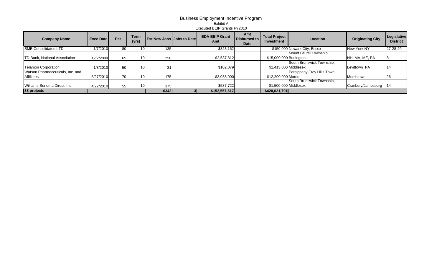| <b>Company Name</b>                            | <b>Exec Date</b> | Pct             | <b>Term</b><br>(yrs) | <b>Est New Jobs Jobs to Date</b> | <b>EDA BEIP Grant</b><br>Amt | Amt<br>Disbursed to<br><b>Date</b> | <b>Total Project</b><br><b>Investment</b> | Location                     | <b>Originating City</b> | Legislative<br><b>District</b> |
|------------------------------------------------|------------------|-----------------|----------------------|----------------------------------|------------------------------|------------------------------------|-------------------------------------------|------------------------------|-------------------------|--------------------------------|
| <b>SME</b> Consolidated LTD                    | 1/7/2010         | 80              |                      | 135                              | \$823,162                    |                                    |                                           | \$150,000 Newark City, Essex | New York NY             | 27-28-29                       |
| TD Bank, National Association                  | 12/2/2009        | 65              |                      | 250                              | \$2,587,812                  |                                    | \$15,000,000 Burlington                   | Mount Laurel Township,       | NH, MA, ME, PA          |                                |
| Telamon Corporation                            | 1/8/2010         | 50              |                      | 31                               | \$102,079                    |                                    | \$1,413,000 Middlesex                     | South Brunswick Township,    | Levittown PA            |                                |
| Watson Pharmaceuticals, Inc. and<br>Affiliates | 5/27/2010        | 70 <sup>1</sup> |                      | 175                              | \$3,038,000                  |                                    | \$12,200,000 Morris                       | Parsippany-Troy Hills Town,  | Morristown              | 26                             |
| Williams-Sonoma Direct, Inc.                   | 4/22/2010        | 55              |                      | 175                              | \$587,722                    |                                    | \$1,500,000 Middlesex                     | South Brunswick Township.    | Cranbury/Jamesburg      | 14                             |
| 38 projects                                    |                  |                 |                      | 6342                             | \$152,557,517                |                                    | \$420,021,791                             |                              |                         |                                |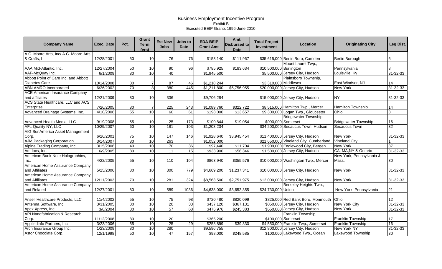| <b>Company Name</b>                       | <b>Exec. Date</b> | Pct. | Grant<br><b>Term</b><br>(vrs) | <b>Est New</b><br><b>Jobs</b> | Jobs to<br><b>Date</b> | <b>EDA BEIP</b><br><b>Grant Amt</b> | Amt.<br><b>Disbursed to</b><br><b>Date</b> | <b>Total Project</b><br>Investment | Location                               | <b>Originating City</b>     | Leg Dist.       |
|-------------------------------------------|-------------------|------|-------------------------------|-------------------------------|------------------------|-------------------------------------|--------------------------------------------|------------------------------------|----------------------------------------|-----------------------------|-----------------|
| A.C. Moore Arts, Inc/ A.C. Moore Arts     |                   |      |                               |                               |                        |                                     |                                            |                                    |                                        |                             |                 |
| & Crafts, I                               | 12/28/2001        | 50   | 10                            | 76                            | 76                     | \$153,140                           | \$111,967                                  |                                    | \$35,615,000 Berlin Boro, Camden       | Berlin Borough              | 6               |
|                                           |                   |      |                               |                               |                        |                                     |                                            |                                    | Mount Laurel Twp.,                     |                             |                 |
| AAA Mid-Atlantic, Inc.                    | 12/27/2004        | 50   | 10                            | 90                            | 96                     | \$785,925                           | \$183,634                                  | \$10,500,000 Burlington            |                                        | Pennsylvania                |                 |
| AAF-McQuay Inc.                           | 6/1/2009          | 80   | 10                            | $\overline{40}$               |                        | $\overline{1,945,500}$              |                                            |                                    | \$5,500,000 Jersey City, Hudson        | Louisville, Ky              | $31 - 32 - 33$  |
| Abbott Point of Care Inc. and Abbott      |                   |      |                               |                               |                        |                                     |                                            |                                    | Plainsboro Township,                   |                             |                 |
| <b>Diabetes Care</b>                      | 10/14/2008        | 80   | 7                             | 87                            | 46                     | \$1,218,244                         |                                            | \$3,310,000 Middlesex              |                                        | East Windsor, NJ            | 14              |
| <b>ABN AMRO Incorporated</b>              | 6/26/2002         | 70   | 8 <sup>1</sup>                | 380                           | 445                    | \$1,211,800                         | \$5,756,955                                |                                    | \$20,000,000 Jersey City, Hudson       | <b>New York</b>             | $31 - 32 - 33$  |
| <b>ACE American Insurance Company</b>     |                   |      |                               |                               |                        |                                     |                                            |                                    |                                        |                             |                 |
| and affiliates                            | 12/21/2009        | 80   | 10                            | 336                           |                        | \$9,706,284                         |                                            |                                    | \$15,000,000 Jersey City, Hudson       | <b>NY</b>                   | 31-32-33        |
| ACS State Healthcare, LLC and ACS         |                   |      |                               |                               |                        |                                     |                                            |                                    |                                        |                             |                 |
| Enterprise                                | 7/26/2005         | 80   | 7                             | 225                           | 243                    | \$1,089,760                         | \$322,722                                  |                                    | \$8,515,000 Hamilton Twp., Mercer      | Hamilton Township           | 14              |
| Advanced Drainage Systems, Inc.           | 4/10/2006         | 55   | 10                            | 60                            | 61                     | \$198,000                           | \$13,657                                   |                                    | \$9,300,000 Logan Twp., Gloucester     | Ohio                        | 3               |
|                                           |                   |      |                               |                               |                        |                                     |                                            |                                    | Bridgewater Township,                  |                             |                 |
| Advanced Health Media, LLC                | 9/19/2008         | 55   | 10                            | 25                            | 173                    | \$100,844                           | \$19,054                                   |                                    | \$990,000 Somerset                     | <b>Bridgewater Township</b> | 16              |
| <b>AFL Quality NY, LLC</b>                | 10/29/2007        | 60   | 10                            | 181                           | 103                    | \$1,203,234                         |                                            |                                    | \$34,200,000 Secaucus Town, Hudson     | <b>Secaucus Town</b>        | $\overline{32}$ |
| AIG SunAmerica Asset Management           |                   |      |                               |                               |                        |                                     |                                            |                                    |                                        |                             |                 |
| Corp.                                     | 6/26/2001         | 75   | 10                            | 147                           | 146                    | \$1,928,640                         | \$3,945,454                                |                                    | \$11,400,000 Jersey City, Hudson       | <b>New York</b>             | 31-32-33        |
| <b>AJM Packaging Corporation</b>          | 3/14/2007         | 80   | 10                            | 263                           |                        | \$1,052,000                         |                                            |                                    | \$21,650,000 Vineland City, Cumberland | <b>Vineland City</b>        |                 |
| Alpine Trading Company, Inc.              | 3/15/2006         | 40   | 10                            | 70                            | $\overline{36}$        | \$97,440                            | \$11,704                                   |                                    | \$1,909,000 Englewood City, Bergen     | <b>New York</b>             | 37              |
| Amdocs, Inc.                              | 6/9/2005          | 80   | 10                            | 11                            | 15                     | \$933,900                           | \$56,346                                   |                                    | \$1,500,000 Jersey City, Hudson        | CA, MA, NY & Ontario        | $31 - 32 - 33$  |
| American Bank Note Holographics,          |                   |      |                               |                               |                        |                                     |                                            |                                    |                                        | New York, Pennsylvania &    |                 |
| Inc.                                      | 4/22/2005         | 55   | 10                            | 110                           | 104                    | \$863,940                           | \$355,576                                  |                                    | \$10,000,000 Washington Twp., Mercer   | Mass.                       | 30              |
| American Home Assurance Company           |                   |      |                               |                               |                        |                                     |                                            |                                    |                                        |                             |                 |
| and Affiliates                            | 5/25/2006         | 80   | 10                            | 300                           | 779                    | \$4,669,200                         | \$1,237,341                                |                                    | \$10,000,000 Jersey City, Hudson       | <b>New York</b>             | 31-32-33        |
| American Home Assurance Company           |                   |      |                               |                               |                        |                                     |                                            |                                    |                                        |                             |                 |
| and Affiliates                            | 12/11/2002        | 70   | 10                            | 281                           | 324                    | \$8,563,500                         | \$2,751,975                                |                                    | \$12,000,000 Jersey City, Hudson       | New York                    | 31-32-33        |
| American Home Assurance Company           |                   |      |                               |                               |                        |                                     |                                            |                                    | Berkeley Heights Twp.,                 |                             |                 |
| and Related                               | 12/27/2001        | 80   | 10                            | 589                           | 1036                   | \$4,638,000                         | \$3,652,355                                | \$24,730,000 Union                 |                                        | New York, Pennsylvania      | 21              |
|                                           |                   |      |                               |                               |                        |                                     |                                            |                                    |                                        |                             |                 |
| Ansell Healthcare Products, LLC           | 11/4/2002         | 55   | 10                            | 75                            | 98                     | \$720,480                           | \$820,099                                  |                                    | \$825,000 Red Bank Boro, Monmouth      | <b>Ohio</b>                 | 12              |
| Antenna Software, Inc.                    | 3/31/2005         | 80   | 10                            | 20                            | 33                     | \$437,120                           | \$367,131                                  |                                    | \$850,000 Jersey City, Hudson          | <b>New York City</b>        | $31 - 32 - 33$  |
| Apex Xpress, Inc.                         | 3/8/2004          | 80   | 10                            | 57                            | 68                     | \$476,976                           | \$245,383                                  |                                    | \$550,000 Jersey City, Hudson          | <b>New York</b>             | $31 - 32 - 33$  |
| <b>API Nanofabrication &amp; Research</b> |                   |      |                               |                               |                        |                                     |                                            |                                    | Franklin Township,                     |                             |                 |
| Corp.                                     | 11/12/2008        | 80   | 10                            | 20                            |                        | \$365,200                           |                                            |                                    | \$100,000 Somerset                     | <b>Franklin Township</b>    | 17              |
| Appliedinfo Partners, Inc.                | 3/23/2006         | 55   | 10                            | 25                            | 29                     | \$258,899                           | \$39,330                                   |                                    | \$4,550,000 Franklin Twp., Somerset    | <b>Franklin Township</b>    | 16              |
| Arch Insurance Group Inc.                 | 1/23/2009         | 80   | 10                            | 280                           |                        | \$9,596,755                         |                                            |                                    | \$12,800,000 Jersey City, Hudson       | New York NY                 | 31-32-33        |
| Astor Chocolate Corp.                     | 12/1/1998         | 50   | 10                            | $\overline{47}$               | 157                    | \$98,000                            | \$248,585                                  |                                    | \$100,000 Lakewood Twp., Ocean         | Lakewood Township           | 30              |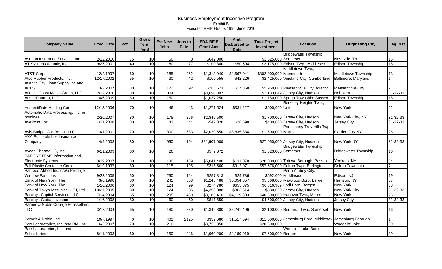| <b>Company Name</b>                   | <b>Exec. Date</b> | Pct. | <b>Grant</b><br><b>Term</b><br>(vrs) | <b>Est New</b><br><b>Jobs</b> | Jobs to<br><b>Date</b> | <b>EDA BEIP</b><br><b>Grant Amt</b> | Amt.<br><b>Disbursed to</b><br><b>Date</b> | <b>Total Project</b><br>Investment | Location                                                 | <b>Originating City</b>     | Leg Dist.       |
|---------------------------------------|-------------------|------|--------------------------------------|-------------------------------|------------------------|-------------------------------------|--------------------------------------------|------------------------------------|----------------------------------------------------------|-----------------------------|-----------------|
|                                       |                   |      |                                      |                               |                        |                                     |                                            |                                    | Bridgewater Township,                                    |                             |                 |
| Asurion Insurance Services, Inc.      | 2/12/2010         | 75   | 10                                   | 50                            | 3                      | \$642,000                           |                                            | \$1,525,000 Somerset               |                                                          | Nashville, Tn               | 16              |
| AT Systems Atlantic, Inc.             | 9/27/2001         | 40   | 10                                   | 80                            | $\overline{77}$        | \$100,800                           | \$50,694                                   |                                    | \$3,175,000 Edison Twp., Middlesex                       | <b>Edison Township</b>      | $\overline{18}$ |
|                                       |                   |      |                                      |                               |                        |                                     |                                            |                                    | Middletown Twp.,                                         |                             |                 |
| AT&T Corp.                            | 12/2/1997         | 60   | 10                                   | 185                           | 462                    | \$1,313,940                         | \$4,667,041                                | \$302,000,000 Monmouth             |                                                          | Middletown Township         | 13              |
| Atco Rubber Products, Inc.            | 12/17/2002        | 55   | 10                                   | 30                            | 42                     | \$100,555                           | \$42,226                                   |                                    | \$2,425,000 Vineland City, Cumberland                    | Baltimore, Maryland         |                 |
| Atlantic City Linen Supply, Inc and   |                   |      |                                      |                               |                        |                                     |                                            |                                    |                                                          |                             |                 |
| <b>ACLS</b>                           | 3/2/2007          | 80   | 10                                   | 121                           | 92                     | \$266,573                           | \$17,368                                   |                                    | \$5,950,000 Pleasantville City, Atlantic                 | Pleasantville City          |                 |
| Atlantic Coast Media Group, LLC       | 2/22/2010         | 80   | 10                                   | 304                           |                        | \$3,696,397                         |                                            |                                    | \$1,183,049 Jersey City, Hudson                          | Hoboken                     | $31 - 32 - 33$  |
| AustarPharma, LLC                     | 10/6/2009         | 60   | 10                                   | 150                           |                        | \$1,037,250                         |                                            |                                    | \$1,750,000 Sparta Township, Sussex                      | <b>Edison Township</b>      | $\overline{18}$ |
|                                       |                   |      |                                      |                               |                        |                                     |                                            |                                    | Berkeley Heights Twp.,                                   |                             |                 |
| AuthentiDate Holding Corp.            | 12/18/2006        | 70   | 10                                   | 46                            | 43                     | \$1,271,524                         | \$331,227                                  | \$600,000 Union                    |                                                          | <b>New York</b>             | 22              |
| Automatic Data Processing, Inc. or    |                   |      |                                      |                               |                        |                                     |                                            |                                    |                                                          |                             |                 |
| nominee                               | 2/20/2007         | 80   | 10                                   | 175                           | 266                    | \$2,845,500                         |                                            |                                    | \$1,700,000 Jersey City, Hudson                          | New York City, NY           | 31-32-33        |
| AvePoint, Inc.                        | 4/21/2008         | 80   | 10                                   | 43                            | 44                     | \$547,820                           | \$28,598                                   |                                    | \$400,000 Jersey City, Hudson                            | Jersey City                 | $31 - 32 - 33$  |
|                                       |                   |      |                                      |                               |                        |                                     |                                            |                                    | Parsippany-Troy Hills Twp.                               |                             |                 |
| Avis Budget Car Rental, LLC           | 3/1/2001          | 70   | 10                                   | 300                           | 633                    | \$2,029,650                         | \$8,835,834                                | \$1,500,000 Morris                 |                                                          | Garden City NY              | 26              |
| <b>AXA Equitable Life Insurance</b>   |                   |      |                                      |                               |                        |                                     |                                            |                                    |                                                          |                             |                 |
| Company                               | 4/9/2008          | 80   | 10                                   | 950                           | 194                    | \$21,907,000                        |                                            |                                    | \$27,050,000 Jersey City, Hudson                         | New York NY                 | 31-32-33        |
|                                       |                   |      |                                      |                               |                        |                                     |                                            |                                    | Bridgewater Township,                                    |                             |                 |
| Axcan Pharma US, Inc.                 | 6/11/2009         | 60   | 10                                   | 26                            |                        | \$579,072                           |                                            | \$1,323,000 Somerset               |                                                          | <b>Bridgewater Township</b> | 16              |
| <b>BAE SYSTEMS Information and</b>    |                   |      |                                      |                               |                        |                                     |                                            |                                    |                                                          |                             |                 |
| <b>Electronic Systems</b>             | 3/29/2007         | 80   | 10                                   | 130                           | 139                    | \$5,041,400                         | \$131,078                                  |                                    | \$20,000,000 Totowa Borough, Passaic                     | Yonkers, NY                 | 34              |
| <b>Ball Plastic Container Corp.</b>   | 6/19/1997         | 80   | 10                                   | 115                           | 195                    | \$315,560                           | \$912,071                                  |                                    | \$57,676,000 Delran Twp., Burlington                     | <b>Delran Township</b>      |                 |
| Bamboo Abbott Inc. d/b/a Prestige     |                   |      |                                      |                               |                        |                                     |                                            |                                    | Perth Amboy City,                                        |                             |                 |
| <b>Window Fashions</b>                | 9/23/2005         | 50   | 10                                   | 250                           | 164                    | \$257,813                           | \$29,786                                   |                                    | \$692,000 Middlesex                                      | Edison, NJ                  | 19              |
| Bank of New York, The                 | 3/6/1998          | 80   | 10                                   | 241                           | 308                    | \$1,245,488                         | \$5,054,357                                |                                    | \$5,368,000 Maywood Boro, Bergen                         | Harrison, NY                | 37              |
| Bank of New York, The                 | 1/10/2000         | 60   | 10                                   | 124                           | 99                     | \$274,780                           | \$655,875                                  |                                    | \$6,816,989 Lodi Boro, Bergen                            | <b>New York</b>             | 38              |
| Bank of Tokyo-Mitsubishi UFJ, Ltd     | 10/21/2005        | 80   | 10                                   | 124                           | 85                     | \$4,353,888                         | 363,614                                    |                                    | \$580,000 Jersey City, Hudson                            | <b>New York City</b>        | $31 - 32 - 33$  |
| <b>Barclays Capital Services, LLC</b> | 7/14/2004         | 65   | 10                                   | 205                           | 450                    | \$3,185,416                         | \$4,119,603                                |                                    | \$40,500,000 Hanover Twp., Morris                        | <b>New York</b>             | $\overline{26}$ |
| <b>Barclays Global Investors</b>      | 1/16/2008         | 80   | 10                                   | 60                            | 50                     | \$811,650                           |                                            |                                    | \$4,600,000 Jersey City, Hudson                          | Jersey City                 | $31 - 32 - 33$  |
| Barnes & Noble College Booksellers,   |                   |      |                                      |                               |                        |                                     |                                            |                                    |                                                          |                             |                 |
| <b>LLC</b>                            | 3/12/2004         | 65   | 10                                   | 180                           | 230                    | \$1,342,800                         | \$2,241,496                                |                                    | \$2,100,000 Bernards Twp., Somerset                      | <b>New York</b>             | 16              |
| Barnes & Noble, Inc.                  | 10/7/1997         | 40   | 10                                   | 402                           | 2125                   | \$337,680                           | \$1,517,594                                |                                    | \$11,000,000 Jamesburg Boro, Middlesex Jamesburg Borough |                             | 14              |
| Barr Laboratories, Inc. and BMI Inc.  | 6/5/2007          | 70   | 10                                   | 210                           |                        | \$3,755,850                         |                                            | \$20,600,000                       |                                                          | <b>Woodcliff Lake</b>       | 39              |
| Barr Laboratories, Inc. and           |                   |      |                                      |                               |                        |                                     |                                            |                                    | Woodcliff Lake Boro,                                     |                             |                 |
| <b>Subsidiaries</b>                   | 8/11/2003         | 60   | 10                                   | 150                           | 246                    | \$1,969,200                         | \$4,189,919                                | \$7,600,000 Bergen                 |                                                          | <b>New York</b>             | 39              |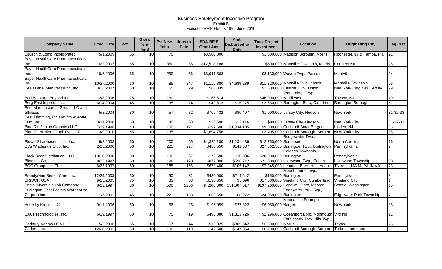| <b>Company Name</b>                      | <b>Exec. Date</b> | Pct. | Grant<br><b>Term</b><br>(vrs) | <b>Est New</b><br><b>Jobs</b> | Jobs to<br><b>Date</b> | <b>EDA BEIP</b><br><b>Grant Amt</b> | Amt.<br><b>Disbursed to</b><br><b>Date</b> | <b>Total Project</b><br>Investment | Location                                                 | <b>Originating City</b>        | Leg Dist.       |
|------------------------------------------|-------------------|------|-------------------------------|-------------------------------|------------------------|-------------------------------------|--------------------------------------------|------------------------------------|----------------------------------------------------------|--------------------------------|-----------------|
| Bausch & Lomb Incorporated               | 5/1/2009          | 55   | 10                            | 70                            |                        | \$3,500,000                         |                                            |                                    | \$1,000,000 Madison Borough, Morris                      | Rochester, NY & Tampa, Fla     | $\overline{21}$ |
| Bayer HealthCare Pharmaceuticals,        |                   |      |                               |                               |                        |                                     |                                            |                                    |                                                          |                                |                 |
| Inc.                                     | 1/22/2007         | 65   | 10                            | 350                           | 35                     | \$12,518,188                        |                                            |                                    | \$500,000 Montville Township, Morris                     | Connecticut                    | 26              |
| Bayer HealthCare Pharmaceuticals,        |                   |      |                               |                               |                        |                                     |                                            |                                    |                                                          |                                |                 |
| Inc.                                     | 10/6/2006         | 65   | 10                            | 250                           | 56                     | \$8,941,563                         |                                            |                                    | \$3,130,000 Wayne Twp., Passaic                          | Montville                      | 34              |
| Bayer HealthCare Pharmaceuticals,        |                   |      |                               |                               |                        |                                     |                                            |                                    |                                                          |                                |                 |
| Inc.                                     | 10/27/2000        | 60   | 10                            | 85                            | 247                    | \$1,115,880                         | \$4,689,239                                |                                    | \$11,320,000 Montville Twp., Morris                      | Montville Township             | 26              |
| Beau Label Manufacturing, Inc.           | 3/16/2007         | 60   | 10                            | 55                            | 29                     | \$60,839                            |                                            |                                    | \$2,500,000 Hillside Twp., Union                         | New York City; New Jersey      | 29              |
|                                          |                   |      |                               |                               |                        |                                     |                                            |                                    | Woodbridge Twp.,                                         |                                |                 |
| Bed Bath and Beyond Inc.                 | 12/8/2006         | 75   | 10                            | 160                           |                        | \$166,614                           |                                            | \$46,000,000 Middlesex             |                                                          | Totowa, NJ                     | 19              |
| Berg East Imports, Inc.                  | 6/14/2004         | 45   | 10                            | $\overline{35}$               | $\overline{74}$        | \$49,613                            | \$16,275                                   |                                    | \$3,650,000 Barrington Boro, Camden                      | <b>Barrington Borough</b>      | 5               |
| Best Manufacturing Group LLC and         |                   |      |                               |                               |                        |                                     |                                            |                                    |                                                          |                                |                 |
| affiliates                               | 5/8/2004          | 80   | 10                            | 57                            | 82                     | \$705,432                           | \$80,497                                   |                                    | \$1,000,000 Jersey City, Hudson                          | New York                       | 31-32-33        |
| Best Trimming, Inc and 7th Avenue        |                   |      |                               |                               |                        |                                     |                                            |                                    |                                                          |                                |                 |
| Trim, Inc.                               | 3/31/2000         | 60   | 10                            | 40                            | 58                     | \$33,600                            | \$12,116                                   |                                    | \$80,000 Jersey City, Hudson                             | <b>New York City</b>           | 31-32-33        |
| <b>Bind Rite/Union Graphics LLC</b>      | 7/29/1998         | 40   | 10                            | 100                           | 174                    | \$199,600                           | \$1,034,105                                |                                    | \$9,000,000 Carlstadt Boro, Bergen                       | Linden, NJ                     | $\overline{36}$ |
| Bind-Rite/Union Graphics, L.L.C.         | 3/9/2010          | 55   | 10                            | 135                           |                        | \$1,694,756                         |                                            |                                    | \$3,405,000 Carlstadt Borough, Bergen                    | <b>New York City</b>           | 36              |
|                                          |                   |      |                               |                               |                        |                                     |                                            |                                    | Bridgewater Twp.,                                        |                                |                 |
| Biovail Pharmaceuticals, Inc.            | 9/8/2003          | 60   | 10                            | 200                           | 65                     | \$4,325,100                         | \$1,131,486                                | \$12,750,000 Somerset              |                                                          | North Carolina                 | 16              |
| BJ's Wholesale Club, Inc.                | 2/28/2000         | 50   | 10                            | 225                           | 227                    | \$453,550                           | \$141,637                                  |                                    | \$27,562,500 Burlington Twp., Burlington                 | Pennsylvania                   |                 |
|                                          |                   |      |                               |                               |                        |                                     |                                            |                                    | Delanco Township,                                        |                                |                 |
| <b>Black Bear Distribution, LLC</b>      | 10/18/2006        | 80   | 10                            | 100                           | 67                     | \$175,500                           | \$20,836                                   | \$20,000,000 Burlington            |                                                          | Pennsylvania                   |                 |
| Blinds to Go, Inc.                       | 8/25/1997         | 60   | 10                            | 198                           | 190                    | \$872,000                           | \$598,712                                  |                                    | \$21,000,000 Lakewood Twp., Ocean                        | Lakewood Township              | 30              |
| BOC Group, Inc. The                      | 6/25/1997         | 60   | 10                            | 185                           | 156                    | \$673,400                           | \$105,142                                  |                                    | \$7,345,000 Lebanon Boro, Hunterdon                      | TN, AL, IL, MA, MI, PA, IN, VA | 23              |
|                                          |                   |      |                               |                               |                        |                                     |                                            |                                    | Mount Laurel Twp.,                                       |                                |                 |
| Brandywine Senior Care, Inc.             | 12/29/2003        | 60   | 10                            | 50                            | 32                     | \$480,000                           | \$214,642                                  |                                    | \$150,000 Burlington                                     | Pennsylvania                   |                 |
| <b>BRIDOR USA</b>                        | 9/13/2005         | 75   | 10                            | 33                            | 33                     | \$190,650                           | \$5,696                                    |                                    | \$17,500,000 Vineland City, Cumberland                   | <b>Vineland City</b>           |                 |
| <b>Bristol-Myers Squibb Company</b>      | 8/22/1997         | 80   | 10                            | 500                           | 2256                   | \$4,200,000                         | \$31,607,617                               |                                    | \$197,200,000 Hopewell Boro, Mercer                      | Seattle, Washington            | 15              |
| <b>Burlington Coat Factory Warehouse</b> |                   |      |                               |                               |                        |                                     |                                            |                                    | Edgewater Park Twp.,                                     |                                |                 |
| Corporation                              | 11/7/2002         | 45   | 10                            | 221                           | 138                    | \$669,550                           | \$68,272                                   | \$24,050,000 Burlington            |                                                          | <b>Edgewater Park Township</b> |                 |
|                                          |                   |      |                               |                               |                        |                                     |                                            |                                    | Moonachie Borough,                                       |                                |                 |
| Butterfly Press, LLC.                    | 9/11/2006         | 50   | 10                            | 56                            | 25                     | \$196,059                           | \$27,322                                   | \$6,050,000 Bergen                 |                                                          | New York                       | 38              |
|                                          |                   |      |                               |                               |                        |                                     |                                            |                                    |                                                          |                                |                 |
| CACI Technologies, Inc.                  | 6/19/1997         | 50   | 10                            | 75                            | 419                    | \$496,080                           | \$1,313,726                                |                                    | \$2,296,000 Oceanport Boro, Monmouth Virginia            |                                | 11              |
|                                          |                   |      |                               |                               |                        |                                     |                                            |                                    | Parsippany-Troy Hills Twp.,                              |                                |                 |
| Cadbury Adams USA LLC                    | 5/2/2006          | 55   | 10                            | 57                            | 44                     | \$510,825                           | \$369,342                                  | \$6,300,000 Morris                 |                                                          | Texas                          | 26              |
| Cadent, Inc.                             | 12/28/2001        | 50   | 10                            | 100                           | 119                    | \$142,500                           | \$147,054                                  |                                    | \$6,700,000 Carlstadt Borough, Bergen   To be determined |                                |                 |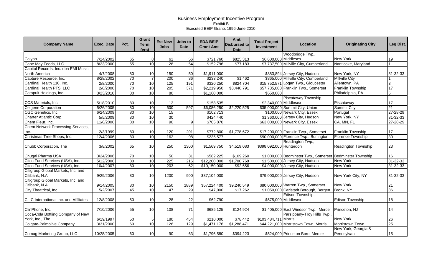| <b>Company Name</b>                    | <b>Exec. Date</b> | Pct. | Grant<br><b>Term</b><br>(vrs) | <b>Est New</b><br><b>Jobs</b> | Jobs to<br><b>Date</b> | <b>EDA BEIP</b><br><b>Grant Amt</b> | Amt.<br><b>Disbursed to</b><br><b>Date</b> | <b>Total Project</b><br>Investment | Location                                                  | <b>Originating City</b>    | Leg Dist.       |
|----------------------------------------|-------------------|------|-------------------------------|-------------------------------|------------------------|-------------------------------------|--------------------------------------------|------------------------------------|-----------------------------------------------------------|----------------------------|-----------------|
|                                        |                   |      |                               |                               |                        |                                     |                                            |                                    | Woodbridge Twp.,                                          |                            |                 |
| Calyon                                 | 7/24/2002         | 65   | 8                             | 61                            | 56                     | \$721,760                           | \$825,313                                  | \$6,600,000 Middlesex              |                                                           | <b>New York</b>            | 19              |
| Cape May Foods, LLC                    | 8/23/2000         | 55   | 10                            | 28                            | 54                     | \$152,796                           | \$77,183                                   |                                    | \$7,737,500 Millville City, Cumberland                    | Nanticoke, Maryland        |                 |
| Capitol Records, Inc. dba EMI Music    |                   |      |                               |                               |                        |                                     |                                            |                                    |                                                           |                            |                 |
| North America                          | 4/7/2008          | 80   | 10                            | 150                           | 50                     | \$1,911,000                         |                                            |                                    | \$883,894 Jersey City, Hudson                             | New York, NY               | 31-32-33        |
| Capture Resource, Inc.                 | 8/28/2002         | 70   |                               | 200                           | 36                     | \$233,240                           | \$1,462                                    |                                    | \$365,000 Millville City, Cumberland                      | <b>Millville City</b>      |                 |
| Cardinal Health 110, Inc.              | 2/8/2000          | 70   | 10                            | 125                           | 191                    | \$320,250                           | \$824,704                                  |                                    | \$15,752,571 Logan Twp., Gloucester                       | Allentown, PA              | 3               |
| Cardinal Health PTS, LLC               | 2/8/2000          | 70   | 10                            | 205                           | 371                    | \$2,219,950                         | \$3,440,791                                |                                    | \$57,735,000 Franklin Twp., Somerset                      | <b>Franklin Township</b>   | 17              |
| Catapult Holdings, Inc.                | 3/23/2010         | 80   | 10                            | 80                            |                        | \$1,160,000                         |                                            | \$550,000                          |                                                           | Philadelphia, PA           | 5               |
|                                        |                   |      |                               |                               |                        |                                     |                                            |                                    | Piscataway Township,                                      |                            |                 |
| CCS Materials, Inc.                    | 5/18/2010         | 80   | 10                            | 12                            |                        | \$158,535                           |                                            | \$2,340,000 Middlesex              |                                                           | Piscataway                 | 17              |
| <b>Celgene Corporation</b>             | 5/26/2005         | 80   | 10                            | 600                           | 597                    | \$6,086,250                         | \$2,220,525                                |                                    | \$35,000,000 Summit City, Union                           | <b>Summit City</b>         | $\overline{21}$ |
| CGC Genetics, Inc.                     | 6/24/2009         | 80   | 10                            | 15                            |                        | \$102,713                           |                                            |                                    | \$100,000 Newark City, Essex                              | Portugal                   | $27 - 28 - 29$  |
| Charter Atlantic Corp.                 | 5/5/2009          | 80   | 10                            | 30                            |                        | \$424,440                           |                                            |                                    | \$1,360,000 Jersey City, Hudson                           | New York, NY               | 31-32-33        |
| Chem Fleur, Inc.                       | 11/6/2006         | 80   | 10                            | 90                            | 9                      | \$705,870                           |                                            |                                    | \$63,000,000 Newark City, Essex                           | CA, MN, FL                 | 27-28-29        |
| Chem Network Processing Services,      |                   |      |                               |                               |                        |                                     |                                            |                                    |                                                           |                            |                 |
| Inc.                                   | 2/3/1999          | 80   | 10                            | 120                           | 201                    | \$772,800                           | \$1,778,672                                |                                    | \$17,200,000 Franklin Twp., Somerset                      | <b>Franklin Township</b>   | 17              |
| Christmas Tree Shops, Inc.             | 12/4/2006         | 80   | 10                            | 162                           | 98                     | \$235,577                           |                                            |                                    | \$90,000,000 Florence Twp., Burlington                    | <b>Florence Township</b>   | 30              |
|                                        |                   |      |                               |                               |                        |                                     |                                            |                                    | Readington Twp.,                                          |                            |                 |
| Chubb Corporation, The                 | 3/8/2002          | 65   | 10                            | 250                           | 1300                   | \$1,569,750                         | \$4,519,083                                | \$398,092,000 Hunterdon            |                                                           | <b>Readington Township</b> | 23              |
|                                        |                   |      |                               |                               |                        |                                     |                                            |                                    |                                                           |                            |                 |
| Chugai Pharma USA                      | 3/24/2006         | 70   | 10                            | 50                            | 31                     | \$582,225                           | \$109,260                                  |                                    | \$1,000,000 Bedminster Twp., Somerset Bedminster Township |                            | 16              |
| Citco Fund Services (USA), Inc.        | 5/12/2006         | 80   | 10                            | 225                           | 216                    | \$12,200,000                        | \$1,700,768                                |                                    | \$1,500,000 Jersey City, Hudson                           | <b>New York</b>            | $31 - 32 - 33$  |
| Citco Fund Services (USA), Inc.        | 10/4/2007         | 80   | $\overline{10}$               | $\overline{203}$              | 62                     | \$10,150,000                        | \$92,556                                   |                                    | \$4,000,000 Jersey City, Hudson                           | New York                   | 31-32-33        |
| Citigroup Global Markets, Inc. and     |                   |      |                               |                               |                        |                                     |                                            |                                    |                                                           |                            |                 |
| Citibank, N.A.                         | 9/29/2006         | 80   | 10                            | 1200                          | 900                    | \$37,104,000                        |                                            |                                    | \$79,000,000 Jersey City, Hudson                          | New York City, NY          | 31-32-33        |
| Citigroup Global Markets, Inc. and     |                   |      |                               |                               |                        |                                     |                                            |                                    |                                                           |                            |                 |
| Citibank, N.A.                         | 9/14/2005         | 80   | 10                            | 2150                          | 1889                   | \$57,224,400                        | \$9,240,549                                |                                    | \$80,000,000 Warren Twp., Somerset                        | New York                   | 21              |
| City Theatrical, Inc.                  | 5/2/2007          | 45   | 10                            | 47                            | 29                     | \$47,000                            | \$17,262                                   |                                    | \$1,050,000 Carlstadt Borough, Bergen                     | Bronx, NY                  | 36              |
|                                        |                   |      |                               |                               |                        |                                     |                                            |                                    | Edison Township,                                          |                            |                 |
| CLIC International Inc. and Affiliates | 12/8/2008         | 50   | 10                            | 28                            | 22                     | \$62,790                            |                                            |                                    | \$575,000 Middlesex                                       | <b>Edison Township</b>     | 18              |
|                                        |                   |      |                               |                               |                        |                                     |                                            |                                    |                                                           |                            |                 |
| ClinPhone, Inc.                        | 7/10/2006         | 55   | 10                            | 108                           | 71                     | \$685,125                           | \$124,924                                  |                                    | \$1,405,000 East Windsor Twp., Mercer                     | Princeton, NJ              | 14              |
| Coca-Cola Bottling Company of New      |                   |      |                               |                               |                        |                                     |                                            |                                    | Parsippany-Troy Hills Twp.                                |                            |                 |
| York, Inc., The                        | 6/19/1997         | 50   | 5                             | 180                           | 454                    | \$210,000                           | \$78,442                                   | \$103,484,711 Morris               |                                                           | New York                   | 26              |
| Colgate-Palmolive Company              | 3/31/2000         | 60   | 10                            | 126                           | 129                    | \$1,471,176                         | \$1,288,471                                |                                    | \$44,221,000 Morristown Town, Morris                      | Morristown Town            | 25              |
|                                        |                   |      |                               |                               |                        |                                     |                                            |                                    |                                                           | New York, Georgia &        |                 |
| Comag Marketing Group, LLC             | 10/28/2005        | 60   | 10                            | 90                            | 63                     | \$1,796,580                         | \$394,223                                  |                                    | \$524,000 Princeton Boro, Mercer                          | Pennsylvan                 | 15              |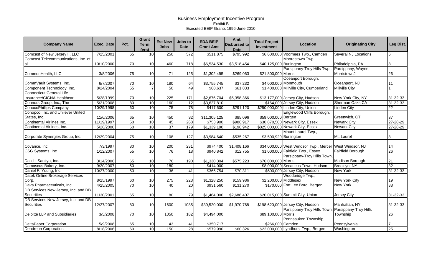| <b>Company Name</b>                               | <b>Exec. Date</b> | Pct. | <b>Grant</b><br><b>Term</b><br>(vrs) | <b>Est New</b><br><b>Jobs</b> | Jobs to<br><b>Date</b> | <b>EDA BEIP</b><br><b>Grant Amt</b> | Amt.<br><b>Disbursed to</b><br><b>Date</b> | <b>Total Project</b><br>Investment | Location                                                | <b>Originating City</b>           | Leg Dist.       |
|---------------------------------------------------|-------------------|------|--------------------------------------|-------------------------------|------------------------|-------------------------------------|--------------------------------------------|------------------------------------|---------------------------------------------------------|-----------------------------------|-----------------|
| Comcast of New Jersey II, LLC                     | 7/25/2001         | 65   | 10                                   | 250                           | 572                    | \$511,875                           | \$795,992                                  |                                    | \$6,600,000 Voorhees Twp., Camden                       | Several NJ Locations              | 16              |
| Comcast Telecommunications, Inc. et.              |                   |      |                                      |                               |                        |                                     |                                            |                                    | Moorestown Twp.,                                        |                                   |                 |
| lal.                                              | 10/10/2000        | 70   | 10                                   | 460                           | 718                    | \$6,534,530                         | \$3,518,454                                | \$40,125,000 Burlington            |                                                         | Philadelphia, PA                  | 8               |
| CommonHealth, LLC                                 | 3/8/2006          | 75   | 10                                   | 71                            | 125                    | \$1,302,495                         | \$269,063                                  | \$21,800,000 Morris                | Parsippany-Troy Hills Twp.,                             | Parsippany, Wayne,<br>MorristownJ | 26              |
| CommVault Systems, Inc.                           | 6/7/2007          | 70   | 10                                   | 180                           | 64                     | \$3,755,745                         | \$37,232                                   | \$4,000,000 Monmouth               | Oceanport Borough,                                      | Oceanport, NJ                     | 11              |
| Component Technology, Inc.                        | 8/24/2004         | 55   |                                      | 50                            | 49                     | \$60,637                            | \$61,833                                   |                                    | \$1,400,000 Millville City, Cumberland                  | <b>Millville City</b>             |                 |
| <b>Connecticut General Life</b>                   |                   |      |                                      |                               |                        |                                     |                                            |                                    |                                                         |                                   |                 |
| Insurance/CIGNA Healthcar                         | 5/28/1999         | 70   | 10                                   | 225                           | 171                    | \$2,676,704                         | \$5,358,366                                |                                    | \$13,177,000 Jersey City, Hudson                        | New York City, NY                 | 31-32-33        |
| Connors Group, Inc., The                          | 5/21/2008         | 80   | 10                                   | 160                           | 12                     | \$3,627,810                         |                                            |                                    | \$164,000 Jersey City, Hudson                           | Sherman Oaks CA                   | $31 - 32 - 33$  |
| <b>ConocoPhillips Company</b>                     | 10/29/1998        | 60   | 10                                   | 75                            | $\overline{78}$        | \$417,600                           | \$291,120                                  |                                    | \$250,000,000 Linden City, Union                        | Linden City                       | $\overline{22}$ |
| Conopco, Inc. and Unilever United<br>States, Inc. | 11/6/2006         | 65   | 10                                   | 450                           | 32                     | \$11,305,125                        | \$85,096                                   | \$59,000,000 Bergen                | Englewood Cliffs Borough,                               | Greenwich, CT                     | 37              |
| <b>Continental Airlines Inc.</b>                  | 11/19/1997        | 50   | 10                                   | 45                            | 268                    | \$753,900                           | \$986,917                                  |                                    | \$30,870,500 Newark City, Essex                         | <b>Newark City</b>                | $27 - 28 - 29$  |
| Continental Airlines, Inc.                        | 5/26/2000         | 60   | 10                                   | $\overline{37}$               | 179                    | \$1,339,190                         | \$198,942                                  |                                    | \$825,000,000 Newark City, Essex                        | <b>Newark City</b>                | 27-28-29        |
| Corporate Synergies Group, Inc.                   | 12/29/2004        | 75   | 10                                   | 108                           | 127                    | \$3,984,640                         | \$535,267                                  | \$3,500,929 Burlington             | Mount Laurel Twp.,                                      | Mt. Laurel                        | 8               |
| Covance, Inc.                                     | 7/3/1997          | 80   | 10                                   | 200                           | 231                    | \$974,400                           | \$1,408,166                                |                                    | \$34,000,000 West Windsor Twp., Mercer West Windsor, NJ |                                   | 14              |
| CSG Systems, Inc.                                 | 1/12/2007         | 55   | 10                                   | 76                            | 18                     | \$940,842                           | \$12,755                                   |                                    | \$1,000,000 Fairfield Twp., Essex                       | <b>Fairfield Borough</b>          | 26              |
| Daiichi Sankyo, Inc.                              | 3/14/2006         | 65   | 10                                   | 76                            | 190                    | \$1,330,304                         | \$575,223                                  | \$76,000,000 Morris                | Parsippany-Troy Hills Town,                             | Madison Borough                   | 21              |
| Damascus Bakery, Inc.                             | 9/20/2007         | 50   | 10                                   | 180                           |                        | \$414,000                           |                                            |                                    | \$8,000,000 Secaucus Town, Hudson                       | Brooklyn, NY                      | 32              |
| Daniel F. Young, Inc.                             | 10/27/2000        | 50   | 10                                   | $\overline{36}$               | $\overline{41}$        | \$366,754                           | \$70,311                                   |                                    | \$600,000 Jersey City, Hudson                           | <b>New York</b>                   | $31 - 32 - 33$  |
| Datek Online Brokerage Services<br>Corp.          | 8/25/1997         | 60   | 10                                   | 275                           | 223                    | \$1,328,250                         | \$159,986                                  | \$2,200,000 Middlesex              | Woodbridge Twp.,                                        | New York City                     | 19              |
| Dava Pharmaceuticals, Inc.                        | 4/25/2005         | 70   | 10                                   | 40                            | $\overline{20}$        | \$931,560                           | \$131,270                                  |                                    | \$170,000 Fort Lee Boro, Bergen                         | <b>New York</b>                   | 38              |
| DB Services New Jersey, Inc. and DB<br>Securities | 11/30/2001        | 65   | 10                                   | 80                            | 79                     | \$1,464,000                         | \$2,688,407                                |                                    | \$20,015,000 Summit City, Union                         | Jersey City                       | 31-32-33        |
| DB Services New Jersey, Inc. and DB               |                   |      |                                      |                               |                        |                                     |                                            |                                    |                                                         |                                   |                 |
| Securities                                        | 12/27/2007        | 80   | 10                                   | 1600                          | 1085                   | \$39,520,000                        | \$1,970,768                                |                                    | \$198,620,000 Jersey City, Hudson                       | Manhattan, NY                     | 31-32-33        |
| Deloitte LLP and Subsidiaries                     | 3/5/2008          | 70   | 10                                   | 1050                          | 182                    | \$4,494,000                         |                                            | \$89,100,000 Morris                | Parsippany-Troy Hills Town, Parsippany-Troy Hills       | Township                          | 26              |
| <b>DeltaPaper Corporation</b>                     | 5/9/2008          | 65   | 10                                   | 43                            | 41                     | \$350,717                           |                                            | \$266,000 Camden                   | Pennsauken Township,                                    | Pennsylvania                      |                 |
| <b>Dendreon Corporation</b>                       | 8/18/2006         | 60   | 10                                   | 150                           | 28                     | \$579,990                           | \$60,326                                   |                                    | \$22,000,000 Lyndhurst Twp., Bergen                     | Washington                        | 25              |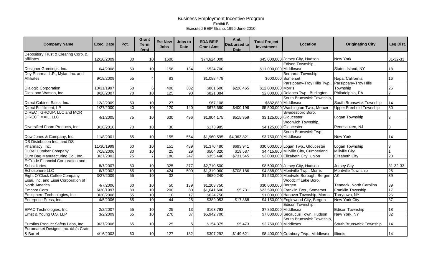| <b>Company Name</b>                  | Exec. Date | Pct. | Grant<br><b>Term</b><br>(vrs) | <b>Est New</b><br><b>Jobs</b> | Jobs to<br>Date  | <b>EDA BEIP</b><br><b>Grant Amt</b> | Amt.<br><b>Disbursed to</b><br><b>Date</b> | <b>Total Project</b><br><b>Investment</b> | Location                               | <b>Originating City</b>        | Leg Dist.       |
|--------------------------------------|------------|------|-------------------------------|-------------------------------|------------------|-------------------------------------|--------------------------------------------|-------------------------------------------|----------------------------------------|--------------------------------|-----------------|
| Depository Trust & Clearing Corp. &  |            |      |                               |                               |                  |                                     |                                            |                                           |                                        |                                |                 |
| affiliates                           | 12/16/2009 | 80   | 10                            | 1600                          |                  | \$74,624,000                        |                                            |                                           | \$45,000,000 Jersey City, Hudson       | New York                       | 31-32-33        |
|                                      |            |      |                               |                               |                  |                                     |                                            |                                           | Edison Township,                       |                                |                 |
| Designer Greetings, Inc.             | 6/4/2008   | 50   | 10                            | 158                           | 134              | \$524,700                           |                                            | \$11,000,000 Middlesex                    |                                        | Staten Island, NY              | 18              |
| Dey Pharma, L.P., Mylan Inc. and     |            |      |                               |                               |                  |                                     |                                            |                                           | Bernards Township,                     |                                |                 |
| <b>Affiliates</b>                    | 9/18/2009  | 55   | $\Delta$                      | 83                            |                  | \$1,088,479                         |                                            |                                           | \$600,000 Somerset                     | Napa, California               | 16              |
|                                      |            |      |                               |                               |                  |                                     |                                            |                                           | Parsippany-Troy Hills Twp.,            | Parsippany-Troy Hills          |                 |
| <b>Dialogic Corporation</b>          | 10/31/1997 | 50   | 6                             | 400                           | 302              | \$861,600                           | \$226,465                                  | \$12,000,000 Morris                       |                                        | Township                       | 26              |
| Dietz and Watson, Inc.               | 8/28/2007  | 70   | 10                            | 125                           | 90               | \$821,384                           |                                            |                                           | \$2,000,000 Delanco Twp., Burlington   | Philadelphia, PA               |                 |
|                                      |            |      |                               |                               |                  |                                     |                                            |                                           | South Brunswick Township,              |                                |                 |
| Direct Cabinet Sales, Inc.           | 12/2/2009  | 50   | 10                            | 27                            |                  | \$67,108                            |                                            |                                           | \$682,880 Middlesex                    | South Brunswick Township       | 14              |
| <b>Direct Fulfillment, LP</b>        | 1/27/2000  | 40   | 10                            | 120                           | 140              | \$675,680                           | \$400,196                                  |                                           | \$5,500,000 Washington Twp., Mercer    | <b>Upper Freehold Township</b> | 30 <sup>°</sup> |
| <b>DIRECT GROUP, LLC and MCR</b>     |            |      |                               |                               |                  |                                     |                                            |                                           | Swedesboro Boro,                       |                                |                 |
| <b>DIRECT MAIL, LLC</b>              | 4/1/2005   | 75   | 10                            | 630                           | 496              | \$1,904,175                         | \$515,359                                  | \$3,125,000 Gloucester                    |                                        | Logan Township                 | 3               |
|                                      |            |      |                               |                               |                  |                                     |                                            |                                           | Woolwich Township,                     |                                |                 |
| Diversified Foam Products, Inc.      | 3/18/2010  | 70   | 10                            | 30                            |                  | \$173,985                           |                                            | \$4,125,000 Gloucester                    |                                        | Pennsauken, NJ                 | 3               |
|                                      |            |      |                               |                               |                  |                                     |                                            |                                           | South Brunswick Twp.,                  |                                |                 |
| Dow Jones & Company, Inc.            | 11/8/2001  | 65   | 10                            | 155                           | 554              | \$1,960,595                         | \$4,363,821                                | \$3,750,000 Middlesex                     |                                        | New York                       | 14              |
| DS Distribution Inc., and DS         |            |      |                               |                               |                  |                                     |                                            |                                           |                                        |                                |                 |
| Pharmacy, Inc.                       | 11/30/1999 | 60   | 10                            | 151                           | 489              | \$1,370,480                         | \$693,941                                  |                                           | \$30,000,000 Logan Twp., Gloucester    | Logan Township                 | 3               |
| <b>DuBell Lumber Company</b>         | 7/18/2006  | 80   | 10                            | 25                            | 29               | \$504,320                           | \$19,587                                   |                                           | \$4,415,800 Millville City, Cumberland | <b>Millville City</b>          |                 |
| Duro Bag Manufacturing Co., Inc.     | 3/27/2002  | 75   | $\overline{7}$                | 180                           | $\overline{247}$ | \$355,446                           | \$731,545                                  |                                           | \$3,000,000 Elizabeth City, Union      | <b>Elizabeth City</b>          | $\overline{20}$ |
| E*Trade Financial Corporation and    |            |      |                               |                               |                  |                                     |                                            |                                           |                                        |                                |                 |
| Subsidiaries                         | 8/7/2007   | 80   | 10                            | 325                           | 377              | \$2,710,500                         |                                            |                                           | \$8,500,000 Jersey City, Hudson        | Jersey City                    | 31-32-33        |
| Echosphere LLC                       | 6/7/2002   | 65   | 10                            | 424                           | 500              | \$1,319,060                         | \$708,186                                  |                                           | \$4,868,093 Montville Twp., Morris     | Montville Township             | 26              |
| Eight O'Clock Coffee Company         | 3/27/2009  | 55   | 10                            | 32                            |                  | \$680,240                           |                                            |                                           | \$1,530,000 Montvale Borough, Bergen   | AK                             | 39              |
| Eisai, Inc. and Eisai Corporation of |            |      |                               |                               |                  |                                     |                                            |                                           | Woodcliff Lake Boro,                   |                                |                 |
| <b>North America</b>                 | 4/7/2006   | 60   | 10                            | 50                            | 139              | \$1,203,750                         |                                            | \$30,000,000 Bergen                       |                                        | Teaneck, North Carolina        | 39              |
| Emcore Corp.                         | 6/30/1997  | 80   | 10                            | 200                           | $\overline{80}$  | $\overline{\$1,041,600}$            | \$5,731                                    |                                           | \$22,599,000 Franklin Twp., Somerset   | Franklin Township              | 17              |
| Emisphere Technologies, Inc.         | 3/20/2008  | 55   | 10                            | 10                            | 17               | \$624,750                           |                                            |                                           | \$1,000,000 Hanover Township, Morris   | Tarrytown, NY                  | 26              |
| Enterprise Press, Inc.               | 4/5/2006   | 65   | 10                            | 44                            | $\overline{25}$  | \$389,053                           | \$17,868                                   |                                           | \$4,150,000 Englewood City, Bergen     | New York City                  | $\overline{37}$ |
|                                      |            |      |                               |                               |                  |                                     |                                            |                                           | Edison Township,                       |                                |                 |
| EPAC Technologies, Inc.              | 2/2/2007   | 55   | 10                            | 25                            | 13               | \$163,793                           |                                            | \$7,850,000 Middlesex                     |                                        | <b>Edison Township</b>         | 18              |
| Ernst & Young U.S. LLP               | 3/2/2009   | 65   | 10                            | 270                           | 37               | \$5,942,700                         |                                            |                                           | \$7,000,000 Secaucus Town, Hudson      | New York, NY                   | 32              |
|                                      |            |      |                               |                               |                  |                                     |                                            |                                           | South Brunswick Township               |                                |                 |
| Eurofins Product Safety Labs, Inc.   | 9/27/2006  | 65   | 10                            | 25                            | 5                | \$154,375                           | \$5,473                                    | \$2,750,000 Middlesex                     |                                        | South Brunswick Township       | 14              |
| Euromarket Designs, Inc. d/b/a Crate |            |      |                               |                               |                  |                                     |                                            |                                           |                                        |                                |                 |
| & Barrel                             | 4/16/2003  | 60   | 10                            | 127                           | 182              | \$307,292                           | \$149,621                                  |                                           | \$8,400,000 Cranbury Twp., Middlesex   | Illinois                       | 14              |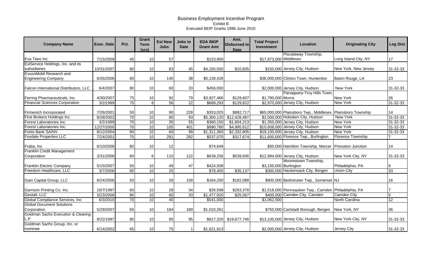| <b>Company Name</b>                                   | Exec. Date | Pct. | Grant<br><b>Term</b><br>(vrs) | <b>Est New</b><br><b>Jobs</b> | Jobs to<br><b>Date</b> | <b>EDA BEIP</b><br><b>Grant Amt</b> | Amt.<br><b>Disbursed to</b><br><b>Date</b> | <b>Total Project</b><br>Investment | Location                                                    | <b>Originating City</b>  | Leg Dist.      |
|-------------------------------------------------------|------------|------|-------------------------------|-------------------------------|------------------------|-------------------------------------|--------------------------------------------|------------------------------------|-------------------------------------------------------------|--------------------------|----------------|
|                                                       |            |      |                               |                               |                        |                                     |                                            |                                    | Piscataway Township,                                        |                          |                |
| Eva Tees Inc.                                         | 7/15/2009  | 45   | 10                            | 57                            |                        | \$153,900                           |                                            | \$17,973,000 Middlesex             |                                                             | Long Island City, NY     | 17             |
| ExlService Holdings, Inc. and its                     |            |      |                               |                               |                        |                                     |                                            |                                    |                                                             |                          |                |
| subsidiaries                                          | 10/31/2007 | 80   | 10                            | 83                            | 45                     | \$4,150,000                         | \$10,605                                   |                                    | \$150,000 Jersey City, Hudson                               | New York, New Jersey     | 31-32-33       |
| ExxonMobil Research and                               |            |      |                               |                               |                        |                                     |                                            |                                    |                                                             |                          |                |
| <b>Engineering Company</b>                            | 6/26/2006  | 80   | 10                            | 140                           | 38                     | \$5,139,428                         |                                            |                                    | \$36,000,000 Clinton Town, Hunterdon                        | Baton Rouge, LA          | 23             |
| Falcon International Distributors, LLC                | 6/4/2007   | 80   | 10                            | 60                            | 33                     | \$456,000                           |                                            |                                    | \$2,000,000 Jersey City, Hudson                             | New York                 | 31-32-33       |
|                                                       |            |      |                               |                               |                        |                                     |                                            |                                    | Parsippany-Troy Hills Town                                  |                          |                |
| Ferring Pharmaceuticals, Inc.                         | 4/30/2007  | 75   | 10                            | 92                            | 79                     | \$3,927,466                         | \$129,607                                  | \$1,790,000 Morris                 |                                                             | <b>New York</b>          | 26             |
| <b>Financial Sciences Corporation</b>                 | 3/2/1999   | 70   | 8                             | 56                            | $\overline{22}$        | \$689,293                           | \$129,822                                  |                                    | \$2,970,000 Jersey City, Hudson                             | <b>New York</b>          | 31-32-33       |
| Firmenich Incorporated                                | 7/26/2001  | 50   | 10                            | 90                            | 228                    | \$353,025                           | \$882,717                                  |                                    | \$65,000,000 Plainsboro Twp., Middlesex Plainsboro Township |                          | 14             |
| First Brokers Holdings Inc.                           | 8/28/2002  | 70   | 10                            | 80                            | 93                     | \$5,300,120                         | \$12,428,487                               |                                    | \$2,500,000 Hoboken City, Hudson                            | New York                 | 31-32-33       |
| Forest Laboratories Inc.                              | 3/2/1999   | 70   | 10                            | 35                            | 55                     | \$360,150                           | \$1,604,213                                |                                    | \$1,350,000 Jersey City, Hudson                             | <b>New York</b>          | 31-32-33       |
| Forest Laboratories Inc.                              | 12/27/2000 | 70   | 10                            | 105                           | 401                    | \$990,780                           | \$4,995,612                                |                                    | \$10,608,000 Jersey City, Hudson                            | <b>New York</b>          | 31-32-33       |
| Fortis Bank SA/NV                                     | 8/12/2004  | 80   | 10                            | 60                            | 99                     | \$1,311,360                         | \$2,332,805                                |                                    | \$19,100,000 Jersey City, Hudson                            | <b>New York</b>          | 31-32-33       |
| <b>Foxdale Properties LLC</b>                         | 7/24/2001  | 75   | 10                            | 291                           | 292                    | \$537,070                           | \$317,674                                  |                                    | \$11,600,000 Florence Twp., Burlington                      | <b>Florence Township</b> |                |
| Fraba, Inc.                                           | 6/10/2008  | 80   | 10                            | 12                            |                        | \$74,649                            |                                            |                                    | \$50,000 Hamilton Township, Mercer Princeton Junction       |                          | 14             |
| Franklin Credit Management                            |            |      |                               |                               |                        |                                     |                                            |                                    |                                                             |                          |                |
| Corporation                                           | 3/31/2006  | 80   | $6 \mid$                      | 110                           | 122                    | \$639,256                           | \$539,936                                  |                                    | \$12,984,000 Jersey City, Hudson                            | New York City, NY        | 31-32-33       |
|                                                       |            |      |                               |                               |                        |                                     |                                            |                                    | Moorestown Township,                                        |                          |                |
| Franklin Electric Company                             | 5/15/2007  | 50   | 10                            | 49                            | 47                     | \$424,508                           |                                            | \$3,150,000 Burlington             |                                                             | Philadelphia, PA         | 8              |
| Freedom Healthcare, LLC                               | 3/7/2006   | 80   | 10                            | $\overline{25}$               |                        | \$78,400                            | \$35,137                                   |                                    | \$300,000 Hackensack City, Bergen                           | <b>Union City</b>        | 33             |
| Gain Capital Group, LLC                               | 8/24/2006  | 50   | 10                            | 26                            | 158                    | \$164,200                           | \$182,088                                  |                                    | \$900,000 Bedminster Twp., Somerset NJ                      |                          | 16             |
| Garrison Printing Co. Inc.                            | 10/7/1997  | 60   | 10                            | 28                            | 34                     | \$26,598                            | \$263,378                                  |                                    | \$1,518,000 Pennsauken Twp., Camden Philadelphia, PA        |                          |                |
| Gestalt, LLC                                          | 3/23/2006  | 80   | 10                            | 60                            | 33                     | \$1,477,920                         | \$25,567                                   |                                    | \$400,000 Camden City, Camden                               | <b>Camden City</b>       | $\overline{5}$ |
| Global Compliance Services, Inc.                      | 6/3/2010   | 70   | 10                            | 40                            |                        | \$541,000                           |                                            | \$1,062,500                        |                                                             | North Carolina           | 12             |
| <b>Global Document Solutions</b>                      |            |      |                               |                               |                        |                                     |                                            |                                    |                                                             |                          |                |
| Corporation                                           | 5/29/2007  | 65   | 10                            | 184                           | 189                    | \$1,010,261                         |                                            |                                    | \$750,000 Carlstadt Borough, Bergen                         | New York, NY             | 36             |
| <b>Goldman Sachs Execution &amp; Clearing</b><br>L.P. | 8/22/1997  | 80   | 10                            | 95                            | 95                     | \$917,320                           | \$19,677,746                               |                                    | \$13,100,000 Jersey City, Hudson                            | New York City, NY        | 31-32-33       |
| Goldman Sachs Group, Inc. or                          |            |      |                               |                               |                        |                                     |                                            |                                    |                                                             |                          |                |
| nominee                                               | 6/14/2002  | 65   | 10                            | 75                            |                        | \$1,621,913                         |                                            |                                    | \$2,000,000 Jersey City, Hudson                             | Jersey City              | 31-32-33       |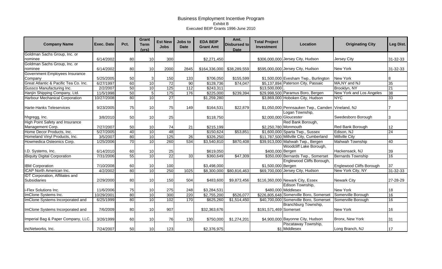| <b>Company Name</b>                    | Exec. Date | Pct. | Grant<br><b>Term</b><br>(vrs) | <b>Est New</b><br><b>Jobs</b> | Jobs to<br><b>Date</b> | <b>EDA BEIP</b><br><b>Grant Amt</b> | Amt.<br><b>Disbursed to</b><br><b>Date</b> | <b>Total Project</b><br>Investment | Location                                         | <b>Originating City</b>  | Leg Dist.       |
|----------------------------------------|------------|------|-------------------------------|-------------------------------|------------------------|-------------------------------------|--------------------------------------------|------------------------------------|--------------------------------------------------|--------------------------|-----------------|
| Goldman Sachs Group, Inc. or           |            |      |                               |                               |                        |                                     |                                            |                                    |                                                  |                          |                 |
| nominee                                | 6/14/2002  | 80   | 10                            | 300                           |                        | \$2,271,450                         |                                            |                                    | \$306,000,000 Jersey City, Hudson                | Jersey City              | 31-32-33        |
| Goldman Sachs Group, Inc. or           |            |      |                               |                               |                        |                                     |                                            |                                    |                                                  |                          |                 |
| nominee                                | 6/14/2002  | 80   | 10                            | 2000                          | 2845                   | \$164,336,000                       | \$38,289,559                               |                                    | \$595,000,000 Jersey City, Hudson                | <b>New York</b>          | 31-32-33        |
| Government Employees Insurance         |            |      |                               |                               |                        |                                     |                                            |                                    |                                                  |                          |                 |
| Company                                | 5/25/2005  | 50   | 3                             | 150                           | 133                    | \$706,050                           | \$155,599                                  |                                    | \$1,500,000 Evesham Twp., Burlington             | <b>New York</b>          | 8               |
| Great Atlantic & Pacific Tea Co. Inc.  | 6/27/1997  | 60   | 10                            | 72                            | 90                     | \$128,736                           | \$74,047                                   |                                    | \$5,137,894 Paterson City, Passaic               | MA, NY and NJ            | 35              |
| Gussco Manufacturing Inc.              | 2/2/2007   | 50   | 10                            | 125                           | 112                    | \$243,311                           |                                            | \$13,500,000                       |                                                  | Brooklyn, NY             | 21              |
| Hanjin Shipping Company, Ltd.          | 11/5/1998  | 50   | 5                             | 175                           | 176                    | \$225,000                           | \$239,394                                  |                                    | \$29,998,500 Paramus Boro, Bergen                | New York and Los Angeles | 38              |
| <b>Harbour Mechanical Corporation</b>  | 10/27/2008 | 80   | 10                            | $\overline{27}$               |                        | \$1,259,280                         |                                            |                                    | \$3,869,000 Hoboken City, Hudson                 | <b>NYC</b>               | $\overline{33}$ |
|                                        |            |      |                               |                               |                        |                                     |                                            |                                    |                                                  |                          |                 |
| <b>Harte-Hanks Teleservices</b>        | 9/23/2005  | 75   | 10                            | 75                            | 149                    | \$164,531                           | \$22,879                                   |                                    | \$1,050,000 Pennsauken Twp., Camden Vineland, NJ |                          |                 |
|                                        |            |      |                               |                               |                        |                                     |                                            |                                    | Logan Township,                                  |                          |                 |
| hhgregg, Inc.                          | 3/8/2010   | 50   | 10                            | 25                            |                        | \$118,750                           |                                            |                                    | \$2,000,000 Gloucester                           | Swedesboro Borough       | 3               |
| <b>High Point Safety and Insurance</b> |            |      |                               |                               |                        |                                     |                                            |                                    | Red Bank Borough,                                |                          |                 |
| Management Corp.                       | 7/27/2007  | 50   | 10                            | 74                            | 21                     | \$215,199                           |                                            |                                    | \$2,250,780 Monmouth                             | Red Bank Borough         | 12              |
| Home Decor Products, Inc.              | 5/27/2005  | 40   | 10                            | 48                            |                        | \$150,624                           | \$53,851                                   |                                    | \$1,600,000 Sparta Twp., Sussex                  | Edison, NJ               | $\overline{24}$ |
| Homeland Vinyl Products, Inc.          | 3/5/2007   | 80   | 10                            | 125                           | $\overline{26}$        | \$326,250                           |                                            |                                    | \$11,787,500 Millville City, Cumberland          | <b>Millville City</b>    |                 |
| Howmedica Osteonics Corp.              | 1/25/2006  | 70   | 10                            | 260                           | 534                    | \$3,540,810                         | \$870,408                                  |                                    | \$39,913,000 Mahwah Twp., Bergen                 | <b>Mahwah Township</b>   | 40              |
|                                        |            |      |                               |                               |                        |                                     |                                            |                                    | Woodcliff Lake Borough,                          |                          |                 |
| I.D. Systems, Inc.                     | 6/14/2010  | 60   | 10                            | 25                            |                        | \$619,050                           |                                            | \$400,000 Bergen                   |                                                  | Hackensack, NJ           | 39              |
| iBiquity Digital Corporation           | 7/31/2006  | 55   | 10                            | $\overline{22}$               | 33                     | \$360,649                           | \$47,309                                   |                                    | \$350,000 Bernards Twp., Somerset                | <b>Bernards Township</b> | 16              |
|                                        |            |      |                               |                               |                        |                                     |                                            |                                    | Englewood Cliffs Borough,                        |                          |                 |
| <b>IBM Corporation</b>                 | 7/10/2008  | 60   | 10                            | 100                           |                        | \$3,498,000                         |                                            | \$1,500,000 Bergen                 |                                                  | Englewood Cliffs Borough | 37              |
| ICAP North American Inc.               | 4/2/2002   | 80   | 10                            | 250                           | 1025                   | \$8,300,000                         | \$80,816,463                               |                                    | \$69,700,000 Jersey City, Hudson                 | New York City, NY        | 31-32-33        |
| <b>IDT Corporation, Affiliates and</b> |            |      |                               |                               |                        |                                     |                                            |                                    |                                                  |                          |                 |
| <b>Subsidiaries</b>                    | 2/29/2000  | 80   | 10                            | 150                           | 504                    | \$483,600                           | \$9,873,456                                |                                    | \$116,360,000 Newark City, Essex                 | <b>Newark City</b>       | 27-28-29        |
|                                        |            |      |                               |                               |                        |                                     |                                            |                                    | Edison Township,                                 |                          |                 |
| i-Flex Solutions Inc.                  | 11/6/2006  | 75   | 10                            | 275                           | 248                    | \$3,284,531                         |                                            |                                    | \$480,000 Middlesex                              | New York                 | 18              |
| ImClone Systems Inc.                   | 10/29/2001 | 80   | 10                            | 300                           | 220                    | \$2,755,200                         | \$526,077                                  |                                    | \$226,805,648 Somerville Boro, Somerset          | Somerville Borough       | 16              |
| ImClone Systems Incorporated and       | 6/25/1999  | 80   | 10                            | 102                           | 170                    | \$625,260                           | $\sqrt{$1,514,450}$                        |                                    | \$40,700,000 Somerville Boro, Somerset           | Somerville Borough       | 16              |
|                                        |            |      |                               |                               |                        |                                     |                                            |                                    | Branchburg Township,                             |                          |                 |
| ImClone Systems Incorporated and       | 7/6/2009   | 80   | 10                            | 907                           |                        | \$32,363,676                        |                                            | \$191,571,469 Somerset             |                                                  | New York                 | 16              |
|                                        |            |      |                               |                               |                        |                                     |                                            |                                    |                                                  |                          |                 |
| Imperial Bag & Paper Company, LLC.     | 3/26/1999  | 60   | 10                            | 76                            | 130                    | \$750,000                           | \$1,274,201                                |                                    | \$4,900,000 Bayonne City, Hudson                 | Bronx, New York          | 31              |
|                                        |            |      |                               |                               |                        |                                     |                                            |                                    | Piscataway Township,                             |                          |                 |
| incNetworks, Inc.                      | 7/24/2007  | 50   | 10                            | 123                           |                        | \$2,376,975                         |                                            |                                    | \$1 Middlesex                                    | Long Branch, NJ          | 17              |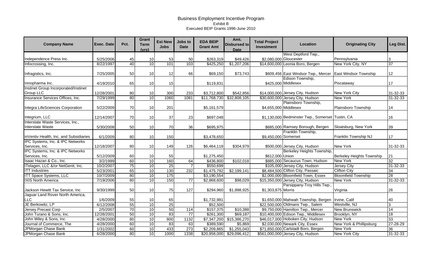| <b>Company Name</b>                                  | Exec. Date | Pct. | Grant<br><b>Term</b><br>(vrs) | <b>Est New</b><br><b>Jobs</b> | Jobs to<br><b>Date</b> | <b>EDA BEIP</b><br><b>Grant Amt</b> | Amt.<br><b>Disbursed to</b><br><b>Date</b> | <b>Total Project</b><br>Investment | Location                                           | <b>Originating City</b>      | Leg Dist.       |
|------------------------------------------------------|------------|------|-------------------------------|-------------------------------|------------------------|-------------------------------------|--------------------------------------------|------------------------------------|----------------------------------------------------|------------------------------|-----------------|
|                                                      |            |      |                               |                               |                        |                                     |                                            |                                    | West Deptford Twp.,                                |                              |                 |
| Independence Press Inc.                              | 5/25/2006  | 45   | 10                            | 53                            | 50                     | \$263,319                           | \$49,426                                   |                                    | \$2,080,000 Gloucester                             | Pennsylvania                 | 3               |
| Infocrossing, Inc.                                   | 8/22/1997  | 40   | 10                            | 101                           | 103                    | \$425,250                           | \$1,207,206                                |                                    | \$14,600,000 Leonia Boro, Bergen                   | New York City, NY            | $\overline{37}$ |
| Infragistics, Inc.                                   | 7/25/2005  | 50   | 10                            | 12                            | 66                     | \$69,150                            | \$73,743                                   |                                    | \$609,456 East Windsor Twp., Mercer                | <b>East Windsor Township</b> | 12              |
| Innopharma Inc.                                      | 4/19/2010  | 65   | 10                            | 15                            |                        | \$119,831                           |                                            |                                    | Edison Township,<br>\$425,000 Middlesex            | Piscataway                   | 17              |
| Instinet Group Incorporated/Instinet<br>Group LLC    | 12/28/2001 | 80   | 10                            | 300                           | 233                    | \$3,712,800                         | \$542,856                                  |                                    | \$14,000,000 Jersey City, Hudson                   | <b>New York City</b>         | 31-32-33        |
| Insurance Services Offices, Inc.                     | 7/29/1999  | 80   | 10                            | 1060                          | 1081                   | \$11,768,730                        | \$32,808,105                               |                                    | \$30,600,000 Jersey City, Hudson                   | <b>New York</b>              | $31 - 32 - 33$  |
| Integra LifeSciences Corporation                     | 5/22/2009  | 70   | 10                            | 201                           |                        | \$5,161,579                         |                                            | \$4,655,000 Middlesex              | Plainsboro Township,                               | Plainsboro Township          | 14              |
| Integrium, LLC                                       | 12/14/2007 | 70   | 10                            | 37                            | 23                     | \$697,048                           |                                            |                                    | \$1,130,000 Bedminster Twp., Somerset Tustin, CA   |                              | 16              |
| Interstate Waste Services, Inc.,<br>Interstate Waste | 5/30/2008  | 50   | 10                            | 70                            | 36                     | \$695,975                           |                                            |                                    | \$685,000 Ramsey Borough, Bergen                   | Sloatsburg, New York         | 39              |
| inVentiv Health, Inc. and Subsidiaries               | 6/1/2009   | 80   | 10                            | 150                           |                        | \$3,478,650                         |                                            | \$9,450,000 Somerset               | Franklin Township,                                 | Franklin Township NJ         | 17              |
| IPC Systems, Inc. & IPC Networks                     |            |      |                               |                               |                        |                                     |                                            |                                    |                                                    |                              |                 |
| Services, Inc.                                       | 12/18/2007 | 80   | 10                            | 149                           | 126                    | \$6,464,118                         | \$304,979                                  |                                    | \$500,000 Jersey City, Hudson                      | <b>New York</b>              | 31-32-33        |
| IPC Systems, Inc. & IPC Networks                     |            |      |                               |                               |                        |                                     |                                            |                                    | Berkeley Heights Township,                         |                              |                 |
| Services, Inc.                                       | 5/12/2009  | 60   | 10                            | 55                            |                        | \$1,275,450                         |                                            | \$612,000 Union                    |                                                    | Berkeley Heights Township    | 21              |
| Isaac Hazan & Co., Inc.                              | 3/2/1999   | 60   | 10                            | 160                           | 64                     | \$436,800                           | \$102,018                                  |                                    | \$885,000 Secaucus Town, Hudson                    | <b>New York</b>              | $\overline{32}$ |
| ITelagen, LLC &/or NetGenit, Inc.                    | 10/2/2007  | 75   | 10                            | 25                            |                        | \$550,699                           |                                            |                                    | \$105,000 Jersey City, Hudson                      | Jersey City                  | 31-32-33        |
| <b>ITT Industries</b>                                | 5/23/2001  | 65   | 10                            | 130                           | 232                    | \$1,475,792                         | \$2,199,141                                |                                    | \$8,484,500 Clifton City, Passaic                  | <b>Clifton City</b>          | $\overline{34}$ |
| ITT Space Systems, LLC                               | 10/7/2009  | 80   | 10                            | 175                           |                        | \$3,190,554                         |                                            |                                    | \$2,000,000 Bloomfield Town, Essex                 | <b>Bloomfield Township</b>   | 28              |
| <b>IXIS North America</b>                            | 7/19/2006  | 80   | 10                            | 150                           | $\overline{77}$        | \$2,868,600                         | \$98,029                                   |                                    | \$15,350,000 Jersey City, Hudson                   | <b>New York</b>              | 31-32-33        |
| Jackson Hewitt Tax Service, Inc                      | 9/30/1999  | 50   | 10                            | 75                            | 127                    | \$294,960                           | \$1,898,925                                | \$1,303,875 Morris                 | Parsippany-Troy Hills Twp.                         | Virginia                     | 26              |
| Jaguar Land Rover North America,                     |            |      |                               |                               |                        |                                     |                                            |                                    |                                                    |                              |                 |
| <b>LLC</b>                                           | 1/6/2009   | 55   | 10                            | 65                            |                        | \$1,732,981                         |                                            |                                    | \$1,650,000 Mahwah Township, Bergen  Irvine, Calif |                              | 40              |
| JE Berkowitz, LP                                     | 6/12/2008  | 55   | 10                            | 25                            |                        | \$52,500                            |                                            |                                    | \$22,500,000 Oldmans Twp., Salem                   | Westville, NJ                | 3               |
| <b>Jersey Precast Corp</b>                           | 2/5/2007   | 70   | 10                            | 50                            | 114                    | \$157,375                           | \$10,388                                   |                                    | \$9,750,000 Hamilton Twp., Mercer                  | <b>New Brunswick</b>         | 14              |
| John Turano & Sons, Inc.                             | 12/28/2001 | 50   | $\overline{10}$               | 83                            | $\overline{77}$        | \$261,300                           | \$69,187                                   |                                    | \$10,400,000 Edison Twp., Middlesex                | Brooklyn, NY                 | $\overline{18}$ |
| John Wiley & Sons, Inc.                              | 4/28/2000  | 80   | 10                            | 800                           | 1132                   | \$7,347,200                         | \$15,386,270                               |                                    | \$46,017,000 Hoboken City, Hudson                  | <b>New York</b>              | 33              |
| Journal of Commerce, The                             | 4/28/2000  | 60   | 10                            | 83                            | 63                     | \$389,590                           | \$5,869                                    |                                    | \$2,030,000 Newark City, Essex                     | New York & Phillipsburg      | 27-28-29        |
| JPMorgan Chase Bank                                  | 1/31/2002  | 60   | $\overline{10}$               | 433                           | 273                    | \$2,209,865                         | \$1,255,043                                |                                    | \$71,850,000 Carlstadt Boro, Bergen                | <b>New York</b>              | $\overline{36}$ |
| JPMorgan Chase Bank                                  | 6/28/2000  | 80   | 10                            | 1000                          | 1338                   | \$20,958,000                        | \$29,096,412                               |                                    | \$561,000,000 Jersey City, Hudson                  | <b>New York City</b>         | $31 - 32 - 33$  |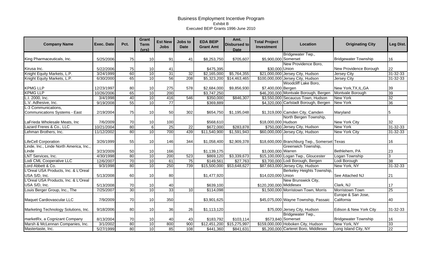| Bridgewater Twp.,<br>King Pharmaceuticals, Inc.<br>\$705,607<br>\$5,900,000 Somerset<br><b>Bridgewater Township</b><br>16<br>5/25/2006<br>75<br>10<br>91<br>41<br>\$8,253,750<br>New Providence Boro,<br>22<br>75<br>10<br>\$475,395<br>\$30,000 Union<br>New Providence Borough<br>Kirusa Inc.<br>5/22/2006<br>41<br>Knight Equity Markets, L.P.<br>60<br>10<br>$\overline{31}$<br>\$5,764,355<br>\$21,000,000 Jersey City, Hudson<br>$31 - 32 - 33$<br>$\overline{32}$<br>3/24/1999<br>\$2,165,000<br>Jersey City<br>65<br>56<br>208<br>10<br>\$5,323,200<br>Knight Equity Markets, L.P.<br>6/30/2000<br>\$14,463,465<br>\$100,000,000 Jersey City, Hudson<br>$31 - 32 - 33$<br>Jersey City<br>Woodcliff Lake Boro,<br><b>KPMG LLP</b><br>12/23/1997<br>275<br>578<br>\$2,684,000<br>\$9,856,930<br>39<br>80<br>10<br>\$7,400,000 Bergen<br>New York, TX, IL, GA<br>39<br>65<br><b>KPMG LLP</b><br>10<br>200<br>\$46,200,000 Montvale Borough, Bergen<br>10/26/2006<br>\$3,747,250<br>Montvale Borough<br>40<br>10<br>32<br>L.I. 2000, Inc.<br>3/4/1998<br>416<br>\$350,000<br>\$846,307<br>\$3,550,000 Secaucus Town, Hudson<br>546<br><b>New York</b><br>55<br>10<br>77<br>36<br>L.V. Adhesive, Inc.<br>\$369,889<br>\$4,320,000 Carlstadt Borough, Bergen<br><b>New York</b><br>9/19/2008<br>L-3 Communications,<br>Communications Systems - East<br>\$1,195,048<br>\$1,319,000 Camden City, Camden<br>2/19/2004<br>75<br>10<br>50<br>302<br>\$654,750<br>Maryland<br>North Bergen Township,<br>32<br>70<br>10<br>\$568,610<br>\$18,000,000 Hudson<br>7/6/2009<br>100<br><b>New York City</b><br>LaFrieda Wholesale Meats, Inc<br>80<br>Lazard Freres & Co., LLC<br>6<br>25<br>$\overline{22}$<br>\$750,000 Jersey City, Hudson<br><b>New York</b><br>$31 - 32 - 33$<br>10/21/2004<br>\$672,000<br>\$283,878<br>10<br>80<br>700<br>439<br>11/12/2002<br>\$11,540,900<br>\$1,591,943<br>\$60,000,000 Jersey City, Hudson<br><b>New York City</b><br>$31 - 32 - 33$<br>Lehman Brothers, Inc.<br>16<br><b>LifeCell Corporation</b><br>3/26/1999<br>55<br>10<br>146<br>344<br>\$1,058,400<br>\$2,909,378<br>\$18,600,000 Branchburg Twp., Somerset Texas<br>Linde, Inc., Linde North America, Inc.,<br>Greenwich Township,<br>\$3,000,000 Warren<br>Bethlehem, PA<br>23<br>Linde<br>3/23/2009<br>50<br>10<br>166<br>\$1,139,175<br>80<br>10<br>LNT Services, Inc.<br>200<br>\$3,339,673<br>\$15,100,000 Logan Twp., Gloucester<br>$\overline{3}$<br>4/30/1998<br>523<br>\$869,120<br>Logan Township<br>Lodi CML Cooperative LLC<br>70<br>38<br>12/6/2007<br>$\overline{10}$<br>61<br>75<br>\$149,561<br>\$27,763<br>\$3,700,000 Lodi Borough, Bergen<br>Lodi Borough<br>10<br>9/3/1998<br>80<br>250<br>\$15,500,000<br>\$53,648,627<br>\$87,663,000 Jersey City, Hudson<br>31-32-33<br>Lord Abbett & Co.<br>739<br>New York, NY<br>L'Oreal USA Products, Inc. & L'Oreal<br><b>Berkeley Heights Township</b><br>USA S/D, Inc.<br>5/13/2008<br>60<br>10<br>80<br>\$1,477,920<br>\$14,020,000 Union<br>21<br>See Attached NJ<br>L'Oreal USA Products, Inc. & L'Oreal<br>New Brunswick City,<br>USA S/D, Inc.<br>17<br>\$639,100<br>\$120,200,000 Middlesex<br>Clark, NJ<br>5/13/2008<br>70<br>10<br>40<br>$\overline{30}$<br>33<br>10<br>$\overline{25}$<br>Louis Berger Group, Inc., The<br>10<br>\$1,500,000 Morristown Town, Morris<br>Morristown Town<br>7/25/2007<br>\$114,098<br>Europe & San Jose,<br>10<br>7/9/2009<br>70<br>350<br>California<br>40<br>Maquet Cardiovascular LLC<br>\$3,901,625<br>\$45,075,000 Wayne Township, Passaic<br>80<br>10<br>\$1,113,120<br>31-32-33<br>9/18/2006<br>36<br>26<br>\$75,000 Jersey City, Hudson<br>Edison & New York City<br>Marketing Technology Solutions, Inc.<br>Bridgewater Twp.,<br>8/13/2004<br>70<br>10<br>\$183,792<br>\$103,114<br>\$573,840 Somerset<br><b>Bridgewater Township</b><br>16<br>marketRx, a Cognizant Company<br>40<br>43<br>33<br>80<br>10<br>Marsh & McLennan Companies, Inc.<br>3/1/2002<br>800<br>900<br>\$12,451,200<br>\$15,275,997<br>\$159,000,000 Hoboken City, Hudson<br>New York, NY<br>10<br>80<br>85<br>\$441,360<br>\$5,200,000 Carteret Boro, Middlesex | <b>Company Name</b> | <b>Exec. Date</b> | Pct. | Grant<br><b>Term</b><br>(vrs) | <b>Est New</b><br><b>Jobs</b> | Jobs to<br><b>Date</b> | <b>EDA BEIP</b><br><b>Grant Amt</b> | Amt.<br><b>Disbursed to</b><br><b>Date</b> | <b>Total Project</b><br>Investment | Location | <b>Originating City</b> | Leg Dist.       |
|-----------------------------------------------------------------------------------------------------------------------------------------------------------------------------------------------------------------------------------------------------------------------------------------------------------------------------------------------------------------------------------------------------------------------------------------------------------------------------------------------------------------------------------------------------------------------------------------------------------------------------------------------------------------------------------------------------------------------------------------------------------------------------------------------------------------------------------------------------------------------------------------------------------------------------------------------------------------------------------------------------------------------------------------------------------------------------------------------------------------------------------------------------------------------------------------------------------------------------------------------------------------------------------------------------------------------------------------------------------------------------------------------------------------------------------------------------------------------------------------------------------------------------------------------------------------------------------------------------------------------------------------------------------------------------------------------------------------------------------------------------------------------------------------------------------------------------------------------------------------------------------------------------------------------------------------------------------------------------------------------------------------------------------------------------------------------------------------------------------------------------------------------------------------------------------------------------------------------------------------------------------------------------------------------------------------------------------------------------------------------------------------------------------------------------------------------------------------------------------------------------------------------------------------------------------------------------------------------------------------------------------------------------------------------------------------------------------------------------------------------------------------------------------------------------------------------------------------------------------------------------------------------------------------------------------------------------------------------------------------------------------------------------------------------------------------------------------------------------------------------------------------------------------------------------------------------------------------------------------------------------------------------------------------------------------------------------------------------------------------------------------------------------------------------------------------------------------------------------------------------------------------------------------------------------------------------------------------------------------------------------------------------------------------------------------------------------------------------------------------------------------------------------------------------------------------------------------------------------------------------------------------------------------------------------------------------------------------------------------------------------------------------------------------------------------------------------------------------------------------------------------------------|---------------------|-------------------|------|-------------------------------|-------------------------------|------------------------|-------------------------------------|--------------------------------------------|------------------------------------|----------|-------------------------|-----------------|
|                                                                                                                                                                                                                                                                                                                                                                                                                                                                                                                                                                                                                                                                                                                                                                                                                                                                                                                                                                                                                                                                                                                                                                                                                                                                                                                                                                                                                                                                                                                                                                                                                                                                                                                                                                                                                                                                                                                                                                                                                                                                                                                                                                                                                                                                                                                                                                                                                                                                                                                                                                                                                                                                                                                                                                                                                                                                                                                                                                                                                                                                                                                                                                                                                                                                                                                                                                                                                                                                                                                                                                                                                                                                                                                                                                                                                                                                                                                                                                                                                                                                                                                                               |                     |                   |      |                               |                               |                        |                                     |                                            |                                    |          |                         |                 |
|                                                                                                                                                                                                                                                                                                                                                                                                                                                                                                                                                                                                                                                                                                                                                                                                                                                                                                                                                                                                                                                                                                                                                                                                                                                                                                                                                                                                                                                                                                                                                                                                                                                                                                                                                                                                                                                                                                                                                                                                                                                                                                                                                                                                                                                                                                                                                                                                                                                                                                                                                                                                                                                                                                                                                                                                                                                                                                                                                                                                                                                                                                                                                                                                                                                                                                                                                                                                                                                                                                                                                                                                                                                                                                                                                                                                                                                                                                                                                                                                                                                                                                                                               |                     |                   |      |                               |                               |                        |                                     |                                            |                                    |          |                         |                 |
|                                                                                                                                                                                                                                                                                                                                                                                                                                                                                                                                                                                                                                                                                                                                                                                                                                                                                                                                                                                                                                                                                                                                                                                                                                                                                                                                                                                                                                                                                                                                                                                                                                                                                                                                                                                                                                                                                                                                                                                                                                                                                                                                                                                                                                                                                                                                                                                                                                                                                                                                                                                                                                                                                                                                                                                                                                                                                                                                                                                                                                                                                                                                                                                                                                                                                                                                                                                                                                                                                                                                                                                                                                                                                                                                                                                                                                                                                                                                                                                                                                                                                                                                               |                     |                   |      |                               |                               |                        |                                     |                                            |                                    |          |                         |                 |
|                                                                                                                                                                                                                                                                                                                                                                                                                                                                                                                                                                                                                                                                                                                                                                                                                                                                                                                                                                                                                                                                                                                                                                                                                                                                                                                                                                                                                                                                                                                                                                                                                                                                                                                                                                                                                                                                                                                                                                                                                                                                                                                                                                                                                                                                                                                                                                                                                                                                                                                                                                                                                                                                                                                                                                                                                                                                                                                                                                                                                                                                                                                                                                                                                                                                                                                                                                                                                                                                                                                                                                                                                                                                                                                                                                                                                                                                                                                                                                                                                                                                                                                                               |                     |                   |      |                               |                               |                        |                                     |                                            |                                    |          |                         |                 |
|                                                                                                                                                                                                                                                                                                                                                                                                                                                                                                                                                                                                                                                                                                                                                                                                                                                                                                                                                                                                                                                                                                                                                                                                                                                                                                                                                                                                                                                                                                                                                                                                                                                                                                                                                                                                                                                                                                                                                                                                                                                                                                                                                                                                                                                                                                                                                                                                                                                                                                                                                                                                                                                                                                                                                                                                                                                                                                                                                                                                                                                                                                                                                                                                                                                                                                                                                                                                                                                                                                                                                                                                                                                                                                                                                                                                                                                                                                                                                                                                                                                                                                                                               |                     |                   |      |                               |                               |                        |                                     |                                            |                                    |          |                         |                 |
|                                                                                                                                                                                                                                                                                                                                                                                                                                                                                                                                                                                                                                                                                                                                                                                                                                                                                                                                                                                                                                                                                                                                                                                                                                                                                                                                                                                                                                                                                                                                                                                                                                                                                                                                                                                                                                                                                                                                                                                                                                                                                                                                                                                                                                                                                                                                                                                                                                                                                                                                                                                                                                                                                                                                                                                                                                                                                                                                                                                                                                                                                                                                                                                                                                                                                                                                                                                                                                                                                                                                                                                                                                                                                                                                                                                                                                                                                                                                                                                                                                                                                                                                               |                     |                   |      |                               |                               |                        |                                     |                                            |                                    |          |                         |                 |
|                                                                                                                                                                                                                                                                                                                                                                                                                                                                                                                                                                                                                                                                                                                                                                                                                                                                                                                                                                                                                                                                                                                                                                                                                                                                                                                                                                                                                                                                                                                                                                                                                                                                                                                                                                                                                                                                                                                                                                                                                                                                                                                                                                                                                                                                                                                                                                                                                                                                                                                                                                                                                                                                                                                                                                                                                                                                                                                                                                                                                                                                                                                                                                                                                                                                                                                                                                                                                                                                                                                                                                                                                                                                                                                                                                                                                                                                                                                                                                                                                                                                                                                                               |                     |                   |      |                               |                               |                        |                                     |                                            |                                    |          |                         |                 |
|                                                                                                                                                                                                                                                                                                                                                                                                                                                                                                                                                                                                                                                                                                                                                                                                                                                                                                                                                                                                                                                                                                                                                                                                                                                                                                                                                                                                                                                                                                                                                                                                                                                                                                                                                                                                                                                                                                                                                                                                                                                                                                                                                                                                                                                                                                                                                                                                                                                                                                                                                                                                                                                                                                                                                                                                                                                                                                                                                                                                                                                                                                                                                                                                                                                                                                                                                                                                                                                                                                                                                                                                                                                                                                                                                                                                                                                                                                                                                                                                                                                                                                                                               |                     |                   |      |                               |                               |                        |                                     |                                            |                                    |          |                         |                 |
|                                                                                                                                                                                                                                                                                                                                                                                                                                                                                                                                                                                                                                                                                                                                                                                                                                                                                                                                                                                                                                                                                                                                                                                                                                                                                                                                                                                                                                                                                                                                                                                                                                                                                                                                                                                                                                                                                                                                                                                                                                                                                                                                                                                                                                                                                                                                                                                                                                                                                                                                                                                                                                                                                                                                                                                                                                                                                                                                                                                                                                                                                                                                                                                                                                                                                                                                                                                                                                                                                                                                                                                                                                                                                                                                                                                                                                                                                                                                                                                                                                                                                                                                               |                     |                   |      |                               |                               |                        |                                     |                                            |                                    |          |                         |                 |
|                                                                                                                                                                                                                                                                                                                                                                                                                                                                                                                                                                                                                                                                                                                                                                                                                                                                                                                                                                                                                                                                                                                                                                                                                                                                                                                                                                                                                                                                                                                                                                                                                                                                                                                                                                                                                                                                                                                                                                                                                                                                                                                                                                                                                                                                                                                                                                                                                                                                                                                                                                                                                                                                                                                                                                                                                                                                                                                                                                                                                                                                                                                                                                                                                                                                                                                                                                                                                                                                                                                                                                                                                                                                                                                                                                                                                                                                                                                                                                                                                                                                                                                                               |                     |                   |      |                               |                               |                        |                                     |                                            |                                    |          |                         |                 |
|                                                                                                                                                                                                                                                                                                                                                                                                                                                                                                                                                                                                                                                                                                                                                                                                                                                                                                                                                                                                                                                                                                                                                                                                                                                                                                                                                                                                                                                                                                                                                                                                                                                                                                                                                                                                                                                                                                                                                                                                                                                                                                                                                                                                                                                                                                                                                                                                                                                                                                                                                                                                                                                                                                                                                                                                                                                                                                                                                                                                                                                                                                                                                                                                                                                                                                                                                                                                                                                                                                                                                                                                                                                                                                                                                                                                                                                                                                                                                                                                                                                                                                                                               |                     |                   |      |                               |                               |                        |                                     |                                            |                                    |          |                         |                 |
|                                                                                                                                                                                                                                                                                                                                                                                                                                                                                                                                                                                                                                                                                                                                                                                                                                                                                                                                                                                                                                                                                                                                                                                                                                                                                                                                                                                                                                                                                                                                                                                                                                                                                                                                                                                                                                                                                                                                                                                                                                                                                                                                                                                                                                                                                                                                                                                                                                                                                                                                                                                                                                                                                                                                                                                                                                                                                                                                                                                                                                                                                                                                                                                                                                                                                                                                                                                                                                                                                                                                                                                                                                                                                                                                                                                                                                                                                                                                                                                                                                                                                                                                               |                     |                   |      |                               |                               |                        |                                     |                                            |                                    |          |                         |                 |
|                                                                                                                                                                                                                                                                                                                                                                                                                                                                                                                                                                                                                                                                                                                                                                                                                                                                                                                                                                                                                                                                                                                                                                                                                                                                                                                                                                                                                                                                                                                                                                                                                                                                                                                                                                                                                                                                                                                                                                                                                                                                                                                                                                                                                                                                                                                                                                                                                                                                                                                                                                                                                                                                                                                                                                                                                                                                                                                                                                                                                                                                                                                                                                                                                                                                                                                                                                                                                                                                                                                                                                                                                                                                                                                                                                                                                                                                                                                                                                                                                                                                                                                                               |                     |                   |      |                               |                               |                        |                                     |                                            |                                    |          |                         |                 |
|                                                                                                                                                                                                                                                                                                                                                                                                                                                                                                                                                                                                                                                                                                                                                                                                                                                                                                                                                                                                                                                                                                                                                                                                                                                                                                                                                                                                                                                                                                                                                                                                                                                                                                                                                                                                                                                                                                                                                                                                                                                                                                                                                                                                                                                                                                                                                                                                                                                                                                                                                                                                                                                                                                                                                                                                                                                                                                                                                                                                                                                                                                                                                                                                                                                                                                                                                                                                                                                                                                                                                                                                                                                                                                                                                                                                                                                                                                                                                                                                                                                                                                                                               |                     |                   |      |                               |                               |                        |                                     |                                            |                                    |          |                         |                 |
|                                                                                                                                                                                                                                                                                                                                                                                                                                                                                                                                                                                                                                                                                                                                                                                                                                                                                                                                                                                                                                                                                                                                                                                                                                                                                                                                                                                                                                                                                                                                                                                                                                                                                                                                                                                                                                                                                                                                                                                                                                                                                                                                                                                                                                                                                                                                                                                                                                                                                                                                                                                                                                                                                                                                                                                                                                                                                                                                                                                                                                                                                                                                                                                                                                                                                                                                                                                                                                                                                                                                                                                                                                                                                                                                                                                                                                                                                                                                                                                                                                                                                                                                               |                     |                   |      |                               |                               |                        |                                     |                                            |                                    |          |                         |                 |
|                                                                                                                                                                                                                                                                                                                                                                                                                                                                                                                                                                                                                                                                                                                                                                                                                                                                                                                                                                                                                                                                                                                                                                                                                                                                                                                                                                                                                                                                                                                                                                                                                                                                                                                                                                                                                                                                                                                                                                                                                                                                                                                                                                                                                                                                                                                                                                                                                                                                                                                                                                                                                                                                                                                                                                                                                                                                                                                                                                                                                                                                                                                                                                                                                                                                                                                                                                                                                                                                                                                                                                                                                                                                                                                                                                                                                                                                                                                                                                                                                                                                                                                                               |                     |                   |      |                               |                               |                        |                                     |                                            |                                    |          |                         |                 |
|                                                                                                                                                                                                                                                                                                                                                                                                                                                                                                                                                                                                                                                                                                                                                                                                                                                                                                                                                                                                                                                                                                                                                                                                                                                                                                                                                                                                                                                                                                                                                                                                                                                                                                                                                                                                                                                                                                                                                                                                                                                                                                                                                                                                                                                                                                                                                                                                                                                                                                                                                                                                                                                                                                                                                                                                                                                                                                                                                                                                                                                                                                                                                                                                                                                                                                                                                                                                                                                                                                                                                                                                                                                                                                                                                                                                                                                                                                                                                                                                                                                                                                                                               |                     |                   |      |                               |                               |                        |                                     |                                            |                                    |          |                         |                 |
|                                                                                                                                                                                                                                                                                                                                                                                                                                                                                                                                                                                                                                                                                                                                                                                                                                                                                                                                                                                                                                                                                                                                                                                                                                                                                                                                                                                                                                                                                                                                                                                                                                                                                                                                                                                                                                                                                                                                                                                                                                                                                                                                                                                                                                                                                                                                                                                                                                                                                                                                                                                                                                                                                                                                                                                                                                                                                                                                                                                                                                                                                                                                                                                                                                                                                                                                                                                                                                                                                                                                                                                                                                                                                                                                                                                                                                                                                                                                                                                                                                                                                                                                               |                     |                   |      |                               |                               |                        |                                     |                                            |                                    |          |                         |                 |
|                                                                                                                                                                                                                                                                                                                                                                                                                                                                                                                                                                                                                                                                                                                                                                                                                                                                                                                                                                                                                                                                                                                                                                                                                                                                                                                                                                                                                                                                                                                                                                                                                                                                                                                                                                                                                                                                                                                                                                                                                                                                                                                                                                                                                                                                                                                                                                                                                                                                                                                                                                                                                                                                                                                                                                                                                                                                                                                                                                                                                                                                                                                                                                                                                                                                                                                                                                                                                                                                                                                                                                                                                                                                                                                                                                                                                                                                                                                                                                                                                                                                                                                                               |                     |                   |      |                               |                               |                        |                                     |                                            |                                    |          |                         |                 |
|                                                                                                                                                                                                                                                                                                                                                                                                                                                                                                                                                                                                                                                                                                                                                                                                                                                                                                                                                                                                                                                                                                                                                                                                                                                                                                                                                                                                                                                                                                                                                                                                                                                                                                                                                                                                                                                                                                                                                                                                                                                                                                                                                                                                                                                                                                                                                                                                                                                                                                                                                                                                                                                                                                                                                                                                                                                                                                                                                                                                                                                                                                                                                                                                                                                                                                                                                                                                                                                                                                                                                                                                                                                                                                                                                                                                                                                                                                                                                                                                                                                                                                                                               |                     |                   |      |                               |                               |                        |                                     |                                            |                                    |          |                         |                 |
|                                                                                                                                                                                                                                                                                                                                                                                                                                                                                                                                                                                                                                                                                                                                                                                                                                                                                                                                                                                                                                                                                                                                                                                                                                                                                                                                                                                                                                                                                                                                                                                                                                                                                                                                                                                                                                                                                                                                                                                                                                                                                                                                                                                                                                                                                                                                                                                                                                                                                                                                                                                                                                                                                                                                                                                                                                                                                                                                                                                                                                                                                                                                                                                                                                                                                                                                                                                                                                                                                                                                                                                                                                                                                                                                                                                                                                                                                                                                                                                                                                                                                                                                               |                     |                   |      |                               |                               |                        |                                     |                                            |                                    |          |                         |                 |
|                                                                                                                                                                                                                                                                                                                                                                                                                                                                                                                                                                                                                                                                                                                                                                                                                                                                                                                                                                                                                                                                                                                                                                                                                                                                                                                                                                                                                                                                                                                                                                                                                                                                                                                                                                                                                                                                                                                                                                                                                                                                                                                                                                                                                                                                                                                                                                                                                                                                                                                                                                                                                                                                                                                                                                                                                                                                                                                                                                                                                                                                                                                                                                                                                                                                                                                                                                                                                                                                                                                                                                                                                                                                                                                                                                                                                                                                                                                                                                                                                                                                                                                                               |                     |                   |      |                               |                               |                        |                                     |                                            |                                    |          |                         |                 |
|                                                                                                                                                                                                                                                                                                                                                                                                                                                                                                                                                                                                                                                                                                                                                                                                                                                                                                                                                                                                                                                                                                                                                                                                                                                                                                                                                                                                                                                                                                                                                                                                                                                                                                                                                                                                                                                                                                                                                                                                                                                                                                                                                                                                                                                                                                                                                                                                                                                                                                                                                                                                                                                                                                                                                                                                                                                                                                                                                                                                                                                                                                                                                                                                                                                                                                                                                                                                                                                                                                                                                                                                                                                                                                                                                                                                                                                                                                                                                                                                                                                                                                                                               |                     |                   |      |                               |                               |                        |                                     |                                            |                                    |          |                         |                 |
|                                                                                                                                                                                                                                                                                                                                                                                                                                                                                                                                                                                                                                                                                                                                                                                                                                                                                                                                                                                                                                                                                                                                                                                                                                                                                                                                                                                                                                                                                                                                                                                                                                                                                                                                                                                                                                                                                                                                                                                                                                                                                                                                                                                                                                                                                                                                                                                                                                                                                                                                                                                                                                                                                                                                                                                                                                                                                                                                                                                                                                                                                                                                                                                                                                                                                                                                                                                                                                                                                                                                                                                                                                                                                                                                                                                                                                                                                                                                                                                                                                                                                                                                               |                     |                   |      |                               |                               |                        |                                     |                                            |                                    |          |                         |                 |
|                                                                                                                                                                                                                                                                                                                                                                                                                                                                                                                                                                                                                                                                                                                                                                                                                                                                                                                                                                                                                                                                                                                                                                                                                                                                                                                                                                                                                                                                                                                                                                                                                                                                                                                                                                                                                                                                                                                                                                                                                                                                                                                                                                                                                                                                                                                                                                                                                                                                                                                                                                                                                                                                                                                                                                                                                                                                                                                                                                                                                                                                                                                                                                                                                                                                                                                                                                                                                                                                                                                                                                                                                                                                                                                                                                                                                                                                                                                                                                                                                                                                                                                                               |                     |                   |      |                               |                               |                        |                                     |                                            |                                    |          |                         |                 |
|                                                                                                                                                                                                                                                                                                                                                                                                                                                                                                                                                                                                                                                                                                                                                                                                                                                                                                                                                                                                                                                                                                                                                                                                                                                                                                                                                                                                                                                                                                                                                                                                                                                                                                                                                                                                                                                                                                                                                                                                                                                                                                                                                                                                                                                                                                                                                                                                                                                                                                                                                                                                                                                                                                                                                                                                                                                                                                                                                                                                                                                                                                                                                                                                                                                                                                                                                                                                                                                                                                                                                                                                                                                                                                                                                                                                                                                                                                                                                                                                                                                                                                                                               |                     |                   |      |                               |                               |                        |                                     |                                            |                                    |          |                         |                 |
|                                                                                                                                                                                                                                                                                                                                                                                                                                                                                                                                                                                                                                                                                                                                                                                                                                                                                                                                                                                                                                                                                                                                                                                                                                                                                                                                                                                                                                                                                                                                                                                                                                                                                                                                                                                                                                                                                                                                                                                                                                                                                                                                                                                                                                                                                                                                                                                                                                                                                                                                                                                                                                                                                                                                                                                                                                                                                                                                                                                                                                                                                                                                                                                                                                                                                                                                                                                                                                                                                                                                                                                                                                                                                                                                                                                                                                                                                                                                                                                                                                                                                                                                               |                     |                   |      |                               |                               |                        |                                     |                                            |                                    |          |                         |                 |
|                                                                                                                                                                                                                                                                                                                                                                                                                                                                                                                                                                                                                                                                                                                                                                                                                                                                                                                                                                                                                                                                                                                                                                                                                                                                                                                                                                                                                                                                                                                                                                                                                                                                                                                                                                                                                                                                                                                                                                                                                                                                                                                                                                                                                                                                                                                                                                                                                                                                                                                                                                                                                                                                                                                                                                                                                                                                                                                                                                                                                                                                                                                                                                                                                                                                                                                                                                                                                                                                                                                                                                                                                                                                                                                                                                                                                                                                                                                                                                                                                                                                                                                                               |                     |                   |      |                               |                               |                        |                                     |                                            |                                    |          |                         |                 |
|                                                                                                                                                                                                                                                                                                                                                                                                                                                                                                                                                                                                                                                                                                                                                                                                                                                                                                                                                                                                                                                                                                                                                                                                                                                                                                                                                                                                                                                                                                                                                                                                                                                                                                                                                                                                                                                                                                                                                                                                                                                                                                                                                                                                                                                                                                                                                                                                                                                                                                                                                                                                                                                                                                                                                                                                                                                                                                                                                                                                                                                                                                                                                                                                                                                                                                                                                                                                                                                                                                                                                                                                                                                                                                                                                                                                                                                                                                                                                                                                                                                                                                                                               |                     |                   |      |                               |                               |                        |                                     |                                            |                                    |          |                         |                 |
|                                                                                                                                                                                                                                                                                                                                                                                                                                                                                                                                                                                                                                                                                                                                                                                                                                                                                                                                                                                                                                                                                                                                                                                                                                                                                                                                                                                                                                                                                                                                                                                                                                                                                                                                                                                                                                                                                                                                                                                                                                                                                                                                                                                                                                                                                                                                                                                                                                                                                                                                                                                                                                                                                                                                                                                                                                                                                                                                                                                                                                                                                                                                                                                                                                                                                                                                                                                                                                                                                                                                                                                                                                                                                                                                                                                                                                                                                                                                                                                                                                                                                                                                               |                     |                   |      |                               |                               |                        |                                     |                                            |                                    |          |                         |                 |
|                                                                                                                                                                                                                                                                                                                                                                                                                                                                                                                                                                                                                                                                                                                                                                                                                                                                                                                                                                                                                                                                                                                                                                                                                                                                                                                                                                                                                                                                                                                                                                                                                                                                                                                                                                                                                                                                                                                                                                                                                                                                                                                                                                                                                                                                                                                                                                                                                                                                                                                                                                                                                                                                                                                                                                                                                                                                                                                                                                                                                                                                                                                                                                                                                                                                                                                                                                                                                                                                                                                                                                                                                                                                                                                                                                                                                                                                                                                                                                                                                                                                                                                                               |                     |                   |      |                               |                               |                        |                                     |                                            |                                    |          |                         |                 |
|                                                                                                                                                                                                                                                                                                                                                                                                                                                                                                                                                                                                                                                                                                                                                                                                                                                                                                                                                                                                                                                                                                                                                                                                                                                                                                                                                                                                                                                                                                                                                                                                                                                                                                                                                                                                                                                                                                                                                                                                                                                                                                                                                                                                                                                                                                                                                                                                                                                                                                                                                                                                                                                                                                                                                                                                                                                                                                                                                                                                                                                                                                                                                                                                                                                                                                                                                                                                                                                                                                                                                                                                                                                                                                                                                                                                                                                                                                                                                                                                                                                                                                                                               |                     |                   |      |                               |                               |                        |                                     |                                            |                                    |          |                         |                 |
|                                                                                                                                                                                                                                                                                                                                                                                                                                                                                                                                                                                                                                                                                                                                                                                                                                                                                                                                                                                                                                                                                                                                                                                                                                                                                                                                                                                                                                                                                                                                                                                                                                                                                                                                                                                                                                                                                                                                                                                                                                                                                                                                                                                                                                                                                                                                                                                                                                                                                                                                                                                                                                                                                                                                                                                                                                                                                                                                                                                                                                                                                                                                                                                                                                                                                                                                                                                                                                                                                                                                                                                                                                                                                                                                                                                                                                                                                                                                                                                                                                                                                                                                               |                     |                   |      |                               |                               |                        |                                     |                                            |                                    |          |                         |                 |
|                                                                                                                                                                                                                                                                                                                                                                                                                                                                                                                                                                                                                                                                                                                                                                                                                                                                                                                                                                                                                                                                                                                                                                                                                                                                                                                                                                                                                                                                                                                                                                                                                                                                                                                                                                                                                                                                                                                                                                                                                                                                                                                                                                                                                                                                                                                                                                                                                                                                                                                                                                                                                                                                                                                                                                                                                                                                                                                                                                                                                                                                                                                                                                                                                                                                                                                                                                                                                                                                                                                                                                                                                                                                                                                                                                                                                                                                                                                                                                                                                                                                                                                                               |                     |                   |      |                               |                               |                        |                                     |                                            |                                    |          |                         |                 |
|                                                                                                                                                                                                                                                                                                                                                                                                                                                                                                                                                                                                                                                                                                                                                                                                                                                                                                                                                                                                                                                                                                                                                                                                                                                                                                                                                                                                                                                                                                                                                                                                                                                                                                                                                                                                                                                                                                                                                                                                                                                                                                                                                                                                                                                                                                                                                                                                                                                                                                                                                                                                                                                                                                                                                                                                                                                                                                                                                                                                                                                                                                                                                                                                                                                                                                                                                                                                                                                                                                                                                                                                                                                                                                                                                                                                                                                                                                                                                                                                                                                                                                                                               |                     |                   |      |                               |                               |                        |                                     |                                            |                                    |          |                         |                 |
|                                                                                                                                                                                                                                                                                                                                                                                                                                                                                                                                                                                                                                                                                                                                                                                                                                                                                                                                                                                                                                                                                                                                                                                                                                                                                                                                                                                                                                                                                                                                                                                                                                                                                                                                                                                                                                                                                                                                                                                                                                                                                                                                                                                                                                                                                                                                                                                                                                                                                                                                                                                                                                                                                                                                                                                                                                                                                                                                                                                                                                                                                                                                                                                                                                                                                                                                                                                                                                                                                                                                                                                                                                                                                                                                                                                                                                                                                                                                                                                                                                                                                                                                               | Mastertaste, Inc.   | 5/27/1999         |      |                               |                               | 108                    |                                     | \$841,631                                  |                                    |          | Long Island City, NY    | $\overline{22}$ |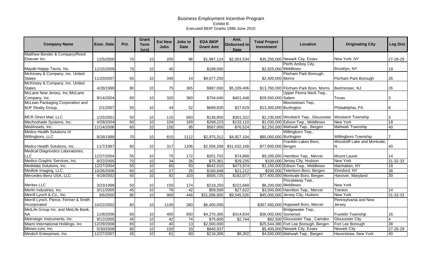| <b>Company Name</b>                   | <b>Exec. Date</b> | Pct. | Grant<br><b>Term</b><br>(vrs) | <b>Est New</b><br><b>Jobs</b> | Jobs to<br><b>Date</b> | <b>EDA BEIP</b><br><b>Grant Amt</b> | Amt.<br><b>Disbursed to</b><br><b>Date</b> | <b>Total Project</b><br>Investment | Location                               | <b>Originating City</b>      | Leg Dist.       |
|---------------------------------------|-------------------|------|-------------------------------|-------------------------------|------------------------|-------------------------------------|--------------------------------------------|------------------------------------|----------------------------------------|------------------------------|-----------------|
| Matthew Bender & Company/Reed         |                   |      |                               |                               |                        |                                     |                                            |                                    |                                        |                              |                 |
| Elsevier Inc.                         | 12/5/2000         | 70   | 10                            | 205                           | 96                     | \$1,987,124                         | \$2,003,534                                |                                    | \$35,200,000 Newark City, Essex        | New York, NY                 | 27-28-29        |
|                                       |                   |      |                               |                               |                        |                                     |                                            |                                    | Perth Amboy City,                      |                              |                 |
| Mayab Happy Tacos, Inc.               | 12/15/2009        | 70   | 10                            | 45                            |                        | \$189,000                           |                                            | \$2,925,000 Middlesex              |                                        | Brooklyn, NY                 | 19              |
| McKinsey & Company, Inc. United       |                   |      |                               |                               |                        |                                     |                                            |                                    | Florham Park Borough,                  |                              |                 |
| <b>States</b>                         | 11/20/2007        | 55   | 10                            | 340                           | 14                     | \$9,677,250                         |                                            | \$2,400,000 Morris                 |                                        | Florham Park Borough         | 26              |
| McKinsey & Company, Inc. United       |                   |      |                               |                               |                        |                                     |                                            |                                    |                                        |                              |                 |
| <b>States</b>                         | 4/28/1998         | 80   | 10                            | 75                            | 365                    | \$987,000                           | \$5,109,406                                |                                    | \$13,760,000 Florham Park Boro, Morris | Bedminster, NJ               | 26              |
| McLane New Jersey, Inc./McLane        |                   |      |                               |                               |                        |                                     |                                            |                                    | Upper Penns Neck Twp.,                 |                              |                 |
| Company, Inc.                         | 9/14/2004         | 60   | 10                            | 320                           | 360                    | \$704,640                           | \$401,448                                  | \$29,500,000 Salem                 |                                        | <b>Texas</b>                 | 3               |
| McLean Packaging Corporation and      |                   |      |                               |                               |                        |                                     |                                            |                                    | Moorestown Twp.,                       |                              |                 |
| MJF Realty Group,                     | 2/1/2007          | 50   | 10                            | 44                            | 52                     | \$689,830                           | \$27,629                                   | \$13,300,000 Burlington            |                                        | Philadelphia, PA             | 8               |
|                                       |                   |      |                               |                               |                        |                                     |                                            |                                    |                                        |                              |                 |
| MCR Direct Mail, LLC                  | 1/25/2001         | 50   | 10                            | 115                           | 693                    | \$136,850                           | \$301,322                                  |                                    | \$2,230,000 Woolwich Twp., Gloucester  | <b>Woolwich Township</b>     | 3               |
| Mechoshade Systems, Inc.              | 4/28/2004         | 60   | 10                            | 104                           | 169                    | \$268,223                           | \$133,110                                  |                                    | \$1,030,000 Edison Twp., Middlesex     | New York                     | 18              |
| MedAssets, Inc.                       | 11/14/2006        | 60   | 10                            | 150                           | 95                     | \$567,000                           | \$76,524                                   |                                    | \$2,250,000 Mahwah Twp., Bergen        | <b>Mahwah Township</b>       | 40              |
| Medco Health Solutions of             |                   |      |                               |                               |                        |                                     |                                            |                                    | Willingboro Twp.,                      |                              |                 |
| Willingboro, LLC                      | 8/26/1999         | 70   | 10                            | 815                           | 1112                   | \$2,975,312                         | \$4,927,104                                | \$85,000,000 Burlington            |                                        | Willingboro Township         |                 |
|                                       |                   |      |                               |                               |                        |                                     |                                            |                                    | Franklin Lakes Boro,                   | Woodcliff Lake and Montvale, |                 |
| Medco Health Solutions, Inc.          | 11/7/1997         | 80   | 10                            | 317                           | 1206                   | \$2,556,288                         | \$31,632,148                               | \$77,600,000 Bergen                |                                        | N                            | 40              |
| Medical Diagnostics Laboratories,     |                   |      |                               |                               |                        |                                     |                                            |                                    |                                        |                              |                 |
| LLC                                   | 12/27/2004        | 55   | 10                            | 75                            | 172                    | \$201,702                           | \$74,868                                   |                                    | \$9,200,000 Hamilton Twp., Mercer      | <b>Mount Laurel</b>          | 14              |
| Medico Graphic Services, Inc.         | 8/22/2005         | 70   | 10                            | 34                            | $\overline{26}$        | \$75,361                            | \$29,235                                   |                                    | \$100,000 Jersey City, Hudson          | <b>New York</b>              | $31 - 32 - 33$  |
| Medidata Solutions, Inc.              | 12/27/2004        | 55   | 10                            | 60                            | 93                     | \$642,010                           | \$473,974                                  |                                    | \$1,150,000 Edison Twp., Middlesex     | Manhattan, NY                | $\overline{18}$ |
| Medlink Imaging, LLC.                 | 10/26/2006        | 60   | 10                            | $\overline{27}$               | 26                     | \$160,848                           | \$21,212                                   |                                    | \$200,000 Teterboro Boro, Bergen       | Elmsford, NY                 | 38              |
| Mercedes-Benz USA, LLC                | 4/19/2002         | 50   | 10                            | 92                            | 103                    | \$505,725                           | \$182,077                                  |                                    | \$77,400,000 Montvale Boro, Bergen     | Hanover, Maryland            | $\overline{30}$ |
|                                       |                   |      |                               |                               |                        |                                     |                                            |                                    | Piscataway Twp.,                       |                              |                 |
| <b>Meritex LLC</b>                    | 3/23/1998         | 50   | 10                            | 150                           | 174                    | \$218,250                           | \$222,668                                  | \$8,200,000 Middlesex              |                                        | <b>New York</b>              |                 |
| Merlin Industries, Inc.               | 3/11/2005         | 45   | 10                            | 76                            | 42                     | \$58,500                            | 327,622                                    |                                    | \$3,500,000 Hamilton Twp., Mercer      | Trenton                      | 14              |
| Merrill Lynch & Co., Inc.             | 3/6/2000          | 80   | $\overline{10}$               | 900                           | 446                    | \$31,096,800                        | \$9,545,526                                |                                    | \$45,000,000 Jersey City, Hudson       | <b>New York</b>              | $31 - 32 - 33$  |
| Merrill Lynch, Pierce, Fenner & Smith |                   |      |                               |                               |                        |                                     |                                            |                                    |                                        | Pennsylvania and New         |                 |
| Incorporated                          | 10/22/2002        | 80   | 10                            | 1100                          | 280                    | \$6,400,000                         |                                            |                                    | \$367,400,000 Hopewell Boro, Mercer    | Jersev                       |                 |
| MetLife Group Inc. and MetLife Bank,  |                   |      |                               |                               |                        |                                     |                                            |                                    | Bridgewater Twp.,                      |                              |                 |
| <b>NA</b>                             | 11/8/2006         | 65   | 10                            | 400                           | 650                    | \$4,270,365                         | \$314,834                                  | \$36,000,000 Somerset              |                                        | Franklin Township            | 16              |
| Metrologic Instruments, Inc.          | 9/12/2005         | 45   | 10                            | 42                            | 74                     | \$75,600                            | \$2,744                                    |                                    | \$62,500 Gloucester Twp., Camden       | <b>Gloucester City</b>       | 4               |
| Miami International Holdings, Inc.    | 12/29/2008        | 65   | 10                            | 40                            | 13                     | \$2,000,000                         |                                            |                                    | \$25,544,380 Fort Lee Borough, Bergen  | Fort Lee Borough             | 38              |
| Mimeo.com, Inc.                       | 5/30/2008         | 80   | 10                            | 150                           | 33                     | \$840,937                           |                                            |                                    | \$5,400,000 Newark City, Essex         | <b>Newark City</b>           | 27-28-29        |
| Mindich Enterprises, Inc.             | 12/27/2007        | 45   | 10                            | 61                            | 60                     | \$216,306                           | \$8,302                                    |                                    | \$4,500,000 Mahwah Twp., Bergen        | Haverstraw, New York         | 40              |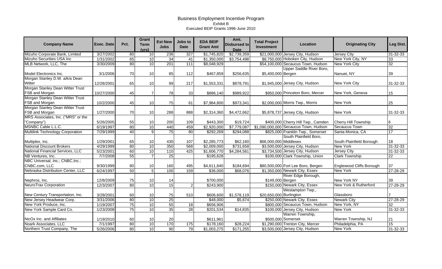| <b>Company Name</b>                                                                    | Exec. Date             | Pct.            | <b>Grant</b><br><b>Term</b><br>(vrs) | <b>Est New</b><br><b>Jobs</b> | Jobs to<br><b>Date</b> | <b>EDA BEIP</b><br><b>Grant Amt</b> | Amt.<br><b>Disbursed to</b><br><b>Date</b> | <b>Total Project</b><br>Investment | <b>Location</b>                                       | <b>Originating City</b>                     | Leg Dist.      |
|----------------------------------------------------------------------------------------|------------------------|-----------------|--------------------------------------|-------------------------------|------------------------|-------------------------------------|--------------------------------------------|------------------------------------|-------------------------------------------------------|---------------------------------------------|----------------|
| Mizuho Corporate Bank, Limited                                                         | 3/27/2002              | 80              | 10                                   | 236                           | 327                    | \$1,745,820                         | \$2,739,359                                |                                    | \$21,000,000 Jersey City, Hudson                      | <b>Jersey City</b>                          | 31-32-33       |
| Mizuho Securities USA Inc                                                              | 1/31/2002              | 65              | 10                                   | 34                            | 41                     | \$1,350,000                         | \$3,754,498                                |                                    | \$8,750,000 Hoboken City, Hudson                      | New York City, NY                           | 33             |
| MLB Network, LLC, The                                                                  | 3/30/2009              | 80              | 10                                   | 201                           | 111                    | \$8,048,929                         |                                            |                                    | \$54,100,000 Secaucus Town, Hudson                    | <b>New York City</b>                        | 32             |
| Model Electronics Inc.                                                                 | 3/1/2006               | 70              | 10 <sup>1</sup>                      | 85                            | 112                    | \$467,859                           | \$256,635                                  | \$5,400,000 Bergen                 | Upper Saddle River Boro,                              | Nanuet, NY                                  | 39             |
| Morgan Stanley D.W. a/k/a Dean<br>Witter                                               | 12/28/2001             | 65              | 10                                   | 99                            | 217                    | \$1,553,331                         | \$878,791                                  |                                    | \$1,945,000 Jersey City, Hudson                       | New York City                               | 31-32-33       |
| Morgan Stanley Dean Witter Trust<br>FSB and Morgan                                     | 10/27/2000             | 45              |                                      | 78                            | 33                     | \$886,140                           | \$989,922                                  |                                    | \$950,000 Princeton Boro, Mercer                      | New York, Geneva                            | 15             |
| Morgan Stanley Dean Witter Trust<br>FSB and Morgan                                     | 10/2/2000              | 45              | 10 <sup>1</sup>                      | 75                            | 61                     | \$7,984,800                         | \$973,341                                  |                                    | \$2,000,000 Morris Twp., Morris                       | New York                                    | 25             |
| Morgan Stanley Dean Witter Trust<br>FSB and Morgan                                     | 1/27/2000              | 70              | 10 <sup>1</sup>                      | 288                           | 888                    | \$2,314,360                         | \$4,472,662                                |                                    | \$5,878,737 Jersey City, Hudson                       | New York                                    | 31-32-33       |
| MRS Associates, Inc. ("MRS" or the<br>"Company")                                       | 5/26/2005              | 55              | 10                                   | 200                           | 109                    | \$443,300                           | \$19,724                                   |                                    | \$400,000 Cherry Hill Twp., Camden                    | <b>Cherry Hill Township</b>                 |                |
| MSNBC Cable L.L.C.                                                                     | 6/19/1997              | 80              | 10                                   | 440                           | 459                    | \$2,920,000                         | \$7,779,087                                |                                    | \$1,090,000,000 Secaucus Town, Hudson                 | <b>Secaucus Town</b>                        | 32             |
| <b>Multilink Technology Corporation</b>                                                | 7/29/1999              | $\overline{40}$ | 9                                    | 75                            | 80                     | \$292,269                           | \$294,088                                  |                                    | \$825,000 Franklin Twp., Somerset                     | Santa Monica, CA                            | 17             |
| Multiplex, Inc.                                                                        | 1/29/2001              | 65              | 10                                   | 430                           | 107                    | \$2,285,773                         | \$62,160                                   | \$66,000,000 Middlesex             | South Plainfield Boro,                                | South Plainfield Borough                    | 18             |
| <b>National Discount Brokers</b>                                                       | 4/29/1999              | 80              | 10                                   | 350                           | 568                    | \$2,009,000                         | \$731,658                                  |                                    | \$3,500,000 Jersey City, Hudson                       | <b>New York</b>                             | 31-32-33       |
| National Financial Services, LLC                                                       | 5/23/2001              | 60              | 10                                   | 110                           | 425                    | \$1,606,770                         | \$4,284,561                                |                                    | \$3,734,500 Jersey City, Hudson                       | <b>Jersey City</b>                          | 31-32-33       |
| NB Ventures, Inc.                                                                      | 7/7/2008               | 55              |                                      | 25                            |                        | \$195,628                           |                                            |                                    | \$100,000 Clark Township, Union                       | <b>Clark Township</b>                       | 22             |
| NBC Universal, Inc.; CNBC, Inc.;<br>CNBC.com, LLC<br>Nebraska Distribution Center, LLC | 9/30/1999              | 80              | 10<br>5                              | 160                           | 495                    | \$4,611,840                         | \$184,694                                  |                                    | \$80,500,000 Fort Lee Boro, Bergen                    | Englewood Cliffs Borough<br><b>New York</b> | 37             |
|                                                                                        | 6/24/1997<br>12/8/2009 | 50<br>75        |                                      | 100                           | 159                    | \$36,000<br>\$700,000               | \$68,076                                   |                                    | \$1,350,000 Newark City, Essex<br>River Edge Borough, | New York NY                                 | 27-28-29<br>39 |
| Nephros, Inc.<br>NeuroTrax Corporation                                                 |                        | 80              | 10<br>10                             | 14<br>15                      |                        |                                     |                                            | \$149,000 Bergen                   | \$150,000 Newark City, Essex                          | New York & Rutherford                       |                |
|                                                                                        | 12/3/2007              |                 |                                      |                               | $\overline{2}$         | \$243,900                           |                                            |                                    | Westampton Twp.,                                      |                                             | 27-28-29       |
| New Century Transportation, Inc.                                                       | 3/28/2001              | 60              | 10                                   | 75                            | 510                    | \$606,600                           | \$1,578,119                                | \$20,650,000 Burlington            |                                                       | Glassboro                                   |                |
| New Jersey Headwear Corp.                                                              | 3/31/2006              | 80              | 10                                   | $\overline{25}$               |                        | \$48,000                            | \$5,674                                    |                                    | \$250,000 Newark City, Essex                          | <b>Newark City</b>                          | 27-28-29       |
| New York Produce, Inc.                                                                 | 1/19/2007              | 75              | 10                                   | 55                            | 18                     | \$656,906                           |                                            |                                    | \$800,000 Secaucus Town, Hudson                       | New York, NY                                | 32             |
| New York Sample Card Co.                                                               | 1/23/2008              | 75              | 10                                   | 35                            | $\overline{28}$        | \$201,534                           | \$14,835                                   |                                    | \$100,000 Jersey City, Hudson                         | <b>New York</b>                             | 31-32-33       |
| NicOx Inc. and Affiliates                                                              | 1/19/2010              | 60              | 10                                   | 20                            |                        | \$611,961                           |                                            |                                    | Warren Township,<br>\$500,000 Somerset                | Warren Township, NJ                         | 21             |
| Noark Associates, LLC                                                                  | 7/1/1997               | 80              | 10                                   | 170                           | 175                    | \$178,160                           | \$28,224                                   |                                    | \$1,290,000 Trenton City, Mercer                      | Philadelphia, PA                            | 15             |
| Northern Trust Company, The                                                            | 5/26/2006              | 80              | 10                                   | 90                            | 79                     | $\overline{$1,003,275}$             | \$171,255                                  |                                    | \$3,500,000 Jersey City, Hudson                       | <b>New York</b>                             | 31-32-33       |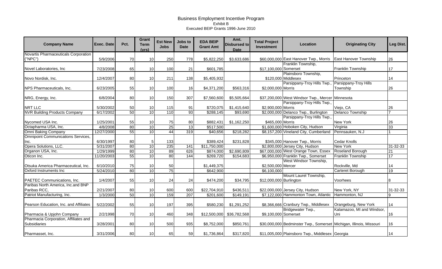| <b>Company Name</b>                                              | Exec. Date             | Pct.     | Grant<br><b>Term</b><br>(vrs) | <b>Est New</b><br><b>Jobs</b> | Jobs to<br><b>Date</b> | <b>EDA BEIP</b><br><b>Grant Amt</b> | Amt.<br><b>Disbursed to</b><br><b>Date</b> | <b>Total Project</b><br>Investment | Location                                                            | <b>Originating City</b>                            | Leg Dist.             |
|------------------------------------------------------------------|------------------------|----------|-------------------------------|-------------------------------|------------------------|-------------------------------------|--------------------------------------------|------------------------------------|---------------------------------------------------------------------|----------------------------------------------------|-----------------------|
| Novartis Pharmaceuticals Corporation<br>("NPC")                  | 5/9/2006               | 70       | 10                            | 250                           | 778                    | \$5,822,250                         | \$3,633,686                                |                                    | \$60,000,000 East Hanover Twp., Morris                              | <b>East Hanover Township</b>                       | 26                    |
| Novel Laboratories, Inc                                          | 7/23/2008              | 65       | 10                            | 100                           | 21                     | \$601,785                           |                                            | \$17,100,000 Somerset              | Franklin Township,                                                  | Franklin Township                                  | 17                    |
| Novo Nordisk, Inc.                                               | 12/4/2007              | 80       | 10                            | 211                           | 138                    | \$5,405,932                         |                                            |                                    | Plainsboro Township,<br>\$120,000 Middlesex                         | Princeton                                          | 14                    |
| NPS Pharmaceuticals, Inc.                                        | 6/23/2005              | 55       | 10                            | 100                           | 16                     | \$4,371,200                         | \$563,316                                  | \$2,000,000 Morris                 | Parsippany-Troy Hills Twp.                                          | Parsippany-Troy Hills<br>Township                  | 26                    |
| NRG, Energy, Inc.                                                | 6/8/2004               | 80       | 10                            | 150                           | 307                    | \$7,560,600                         | \$5,505,664                                |                                    | \$37,200,000 West Windsor Twp., Mercer                              | Minnesota                                          |                       |
| NRT LLC                                                          | 5/30/2002              | 50       | 10                            | 115                           | 91                     | \$720,075                           | \$1,415,640                                | \$2,900,000 Morris                 | Parsippany-Troy Hills Twp.                                          | Viejo, CA                                          | 26                    |
| <b>NVR Building Products Company</b>                             | 6/17/2002              | 50       | 10                            | 110                           | 93                     | \$288,145                           | \$93,690                                   |                                    | \$2,000,000 Delanco Twp., Burlington<br>Parsippany-Troy Hills Twp., | <b>Delanco Township</b>                            |                       |
| Nycomed USA Inc.<br>Octapharma USA, Inc.                         | 1/25/2001<br>4/8/2008  | 55<br>80 | 10<br>10                      | 75<br>$\overline{25}$         | 80<br>13               | \$882,431<br>\$517,500              | \$1,162,250                                | \$465,000 Morris                   | \$1,600,000 Hoboken City, Hudson                                    | New York<br>Virginia                               | 26<br>33              |
| Omni Baking Company<br><b>Omnipoint Communications Services,</b> | 12/27/2000             | 55       | 10                            | 44                            | 319                    | \$40,656                            | \$218,282                                  |                                    | \$8,157,200 Vineland City, Cumberland                               | Pennsauken, N.J                                    |                       |
| Inc.<br>Opera Solutions, LLC.                                    | 6/30/1997<br>5/31/2007 | 80<br>80 | 5<br>10                       | 133<br>235                    | 141                    | \$389,424<br>\$11,750,000           | \$231,828                                  |                                    | \$345,000 Hanover Twp., Morris<br>\$2,800,000 Jersey City, Hudson   | <b>Cedar Knolls</b><br><b>New York</b>             | 31-32-33              |
| Organon USA, Inc.                                                | 1/29/1999              | 80       | 10                            | 89                            | 626                    | \$874,000                           | \$2,690,809                                |                                    | \$67,000,000 West Orange Town, Essex                                | <b>Roseland Borough</b>                            | 21                    |
| Oticon Inc.                                                      | 11/20/2003             | 55       | 10                            | 80                            | 144                    | \$269,720                           | \$154,683                                  |                                    | \$6,950,000 Franklin Twp., Somerset<br>West Windsor Township,       | Franklin Township                                  | 17                    |
| Otsuka America Pharmaceutical, Inc.<br>Oxford Instruments Inc    | 6/10/2010<br>5/24/2010 | 75<br>80 | 10<br>10                      | 50<br>75                      |                        | \$1,449,375<br>\$642,900            |                                            | \$2,500,000 Mercer<br>\$6,100,000  |                                                                     | Rockville, Md<br>Carteret Borough                  | 14<br>$\overline{19}$ |
| PAETEC Communications, Inc.                                      | 1/4/2007               | 55       | 10                            | 24                            | 24                     | \$474,200                           | \$34,795                                   | \$12,000,000 Burlington            | Mount Laurel Township,                                              | Voorhees                                           | 8                     |
| Paribas North America, Inc.and BNP<br>Paribas RCC,               | 2/21/2007              | 80       | 10                            | 600                           | 600                    | \$22,704,910                        | \$436,511                                  |                                    | \$22,000,000 Jersey City, Hudson                                    | New York, NY                                       | 31-32-33              |
| Patriot Manufacturing, Inc.                                      | 1/3/2000               | 50       | 10                            | 159                           | 207                    | \$201,600                           | \$149,191                                  |                                    | \$7,122,000 Hammonton Town, Atlantic                                | Hammonton, NJ                                      |                       |
| Pearson Education, Inc. and Affiliates                           | 5/22/2002              | 55       | 10                            | 197                           | 395                    | \$580,230                           | \$1,291,252                                |                                    | \$8,366,666 Cranbury Twp., Middlesex<br>Bridgewater Twp.,           | Orangeburg, New York<br>Kalamazoo, MI and Windsor, | 14                    |
| Pharmacia & Upjohn Company                                       | 2/2/1998               | 70       | 10                            | 460                           | 348                    | \$12,500,000                        | \$36,782,568                               | \$9,100,000 Somerset               |                                                                     | Uni                                                | 16                    |
| Pharmacia Corporation, Affiliates and<br>Subsidiaries            | 3/28/2001              | 80       | 10                            | 500                           | 935                    | \$8,752,000                         | \$850,761                                  |                                    | \$30,000,000 Bedminster Twp., Somerset Michigan, Illinois, Missouri |                                                    | 16                    |
| Pharmasset, Inc.                                                 | 3/31/2006              | 80       | 10                            | 65                            | 59                     | \$1,736,864                         | \$317,820                                  |                                    | \$11,005,000 Plainsboro Twp., Middlesex Georgia                     |                                                    | 14                    |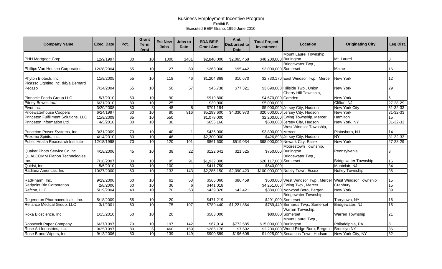| <b>Company Name</b>                      | <b>Exec. Date</b> | Pct. | Grant<br><b>Term</b><br>(vrs) | <b>Est New</b><br><b>Jobs</b> | Jobs to<br><b>Date</b> | <b>EDA BEIP</b><br><b>Grant Amt</b> | Amt.<br><b>Disbursed to</b><br><b>Date</b> | <b>Total Project</b><br>Investment | Location                                                  | <b>Originating City</b>     | Leg Dist.       |
|------------------------------------------|-------------------|------|-------------------------------|-------------------------------|------------------------|-------------------------------------|--------------------------------------------|------------------------------------|-----------------------------------------------------------|-----------------------------|-----------------|
|                                          |                   |      |                               |                               |                        |                                     |                                            |                                    | Mount Laurel Township,                                    |                             |                 |
| PHH Mortgage Corp.                       | 12/9/1997         | 80   | 10                            | 1000                          | 1481                   | \$2,840,000                         | \$2,065,458                                | \$48,200,000 Burlington            |                                                           | Mt. Laurel                  |                 |
|                                          |                   |      |                               |                               |                        |                                     |                                            |                                    | Bridgewater Twp.,                                         |                             |                 |
| Phillips Van Heusen Corporation          | 12/28/2004        | 55   | 10                            | 27                            | 89                     | \$263,000                           | \$95,442                                   | \$3,000,000 Somerset               |                                                           | Maine                       | 16              |
| Phyton Biotech, Inc.                     | 11/9/2005         | 55   | 10                            | 118                           | 46                     | \$1,204,868                         | \$10,670                                   |                                    | \$2,730,170 East Windsor Twp., Mercer                     | New York                    | 12              |
| Picasso Lighting Inc. d/b/a Bernard      |                   |      |                               |                               |                        |                                     |                                            |                                    |                                                           |                             |                 |
| Pecaso                                   | 7/14/2004         | 55   | 10                            | 50                            | 57                     | \$45,738                            | \$77,321                                   |                                    | \$3,690,000 Hillside Twp., Union                          | <b>New York</b>             | 29              |
|                                          |                   |      |                               |                               |                        |                                     |                                            |                                    | Cherry Hill Township,                                     |                             |                 |
| Pinnacle Foods Group LLC                 | 5/7/2010          | 60   | 10                            | 90                            |                        | \$919,800                           |                                            | \$4,670,000 Camden                 |                                                           | New York                    | 6               |
| Pitney Bowes Inc.                        | 6/21/2010         | 80   | 10                            | 25                            |                        | \$30,900                            |                                            | \$5,000,000                        |                                                           | Clifton, NJ                 | 27-28-29        |
| Pivot Inc.                               | 3/20/2008         | 80   | 8                             | 48                            | 8                      | \$701,184                           |                                            |                                    | \$5,000,000 Jersey City, Hudson                           | <b>New York City</b>        | $31 - 32 - 33$  |
| <b>Pricewaterhouse Coopers</b>           | 6/24/1997         | 60   | 10                            | 80                            | 916                    | \$5,293,600                         | \$4,330,973                                |                                    | \$20,600,000 Jersey City, Hudson                          | <b>New York</b>             | $31 - 32 - 33$  |
| Princeton Fulfillment Solutions, LLC     | 11/9/2009         | 65   | $\overline{10}$               | 550                           |                        | \$1,078,000                         |                                            |                                    | \$2,200,000 Ewing Township, Mercer                        | <b>Hamilton</b>             | 15              |
| Princeton Information Ltd.               | 4/5/2010          | 80   | 10                            | 30                            |                        | \$656,166                           |                                            |                                    | \$500,000 Jersey City, Hudson                             | New York, NY                | $31 - 32 - 33$  |
|                                          |                   |      |                               |                               |                        |                                     |                                            |                                    | West Windsor Township,                                    |                             |                 |
| Princeton Power Systems, Inc.            | 3/31/2009         | 70   | 10                            | 40                            |                        | \$435,000                           |                                            | \$3,800,000 Mercer                 |                                                           | Plainsboro, NJ              | 14              |
| Proximo Spirits, Inc.                    | 4/14/2010         | 80   | 10                            | 46                            |                        | \$2,300,000                         |                                            |                                    | \$426,893 Jersey City, Hudson                             | ΝY                          | 31-32-33        |
| <b>Public Health Reasearch Institute</b> | 12/18/1998        | 70   | $\overline{10}$               | 120                           | 101                    | \$861,600                           | \$519,034                                  |                                    | \$68,000,000 Newark City, Essex                           | <b>New York</b>             | 27-28-29        |
|                                          |                   |      |                               |                               |                        |                                     |                                            |                                    | Moorestown Township,                                      |                             |                 |
| Quaker Photo Service Co Inc              | 4/18/2006         | 45   | 10                            | 38                            | 22                     | \$122,641                           | \$21,525                                   |                                    | \$750,000 Burlington                                      | Pennsylvania                | 8               |
| <b>QUALCOMM Flarion Technologies,</b>    |                   |      |                               |                               |                        |                                     |                                            |                                    | Bridgewater Twp.,                                         |                             |                 |
| Inc.                                     | 7/18/2007         | 80   | 10                            | 95                            | 91                     | \$1,932,300                         |                                            | \$20,117,000 Somerset              |                                                           | <b>Bridgewater Township</b> | 16              |
| Quidsi, Inc.                             | 5/5/2010          | 80   | 10                            | 100                           |                        | \$411,750                           |                                            | \$540,000                          |                                                           | Montclair, NJ               | 34              |
| Radianz Americas, Inc.                   | 10/27/2000        | 60   | 10                            | 133                           | 143                    | \$2,285,150                         | \$2,090,423                                |                                    | \$100,000,000 Nutley Town, Essex                          | <b>Nutley Township</b>      | $\overline{36}$ |
|                                          |                   |      |                               |                               |                        |                                     |                                            |                                    |                                                           |                             |                 |
| RadPharm, Inc.                           | 9/29/2006         | 60   | 10                            | 62                            | 53                     | \$566,060                           | \$86,459                                   |                                    | \$500,000 West Windsor Twp., Mercer West Windsor Township |                             | 15              |
| <b>Redpoint Bio Corporation</b>          | 2/8/2006          | 60   | 10                            | 36                            | 6                      | \$441,018                           |                                            |                                    | \$4,251,000 Ewing Twp., Mercer                            | Cranbury                    | 15              |
| Refcon, LLC                              | 5/19/2004         | 40   | $\overline{10}$               | $\overline{70}$               | 53                     | \$439,320                           | \$42,421                                   |                                    | \$380,000 Norwood Boro, Bergen                            | <b>New York</b>             | 39              |
|                                          |                   |      |                               |                               |                        |                                     |                                            |                                    | Bridgewater Township,                                     |                             |                 |
| Regeneron Pharmaceuticals, Inc.          | 5/18/2009         | 55   | 10                            | 20                            |                        | \$471,219                           |                                            |                                    | \$291,000 Somerset                                        | Tarrytown, NY               | 16              |
| Reliance Medical Group, LLC              | 3/1/2001          | 60   | 10                            | 75                            | 107                    | \$789,440                           | \$1,221,864                                |                                    | \$789,440 Bernards Twp., Somerset                         | Bridgewater, NJ             | 16              |
|                                          |                   |      |                               |                               |                        |                                     |                                            |                                    | Warren Township,                                          |                             |                 |
| Roka Bioscience, Inc.                    | 1/15/2010         | 50   | 10                            | 20                            |                        | \$583,000                           |                                            |                                    | \$80,000 Somerset                                         | Warren Township             | 21              |
|                                          |                   |      |                               |                               |                        |                                     |                                            |                                    | Mount Laurel Twp.,                                        |                             |                 |
| Roosevelt Paper Company                  | 6/27/1997         | 70   | 10                            | 197                           | 142                    | \$67,914                            | \$772,585                                  | \$15,000,000 Burlington            |                                                           | Philadelphia, PA            | 8               |
| Rose Art Industries, Inc.                | 9/25/1997         | 80   | $6 \overline{}$               | 460                           | 159                    | \$286,176                           | \$7,692                                    |                                    | \$2,200,000 Wood-Ridge Boro, Bergen                       | Brooklyn, NY                | 36              |
| Rose Brand Wipers, Inc.                  | 9/13/2006         | 80   | 10                            | 139                           | 149                    | \$900,589                           | \$196,608                                  |                                    | \$1,025,000 Secaucus Town, Hudson                         | New York City, NY           | 32              |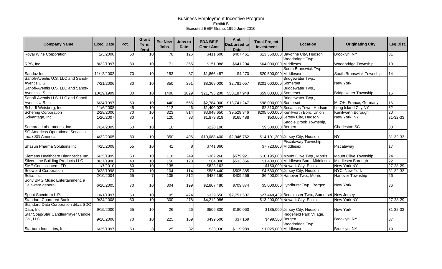| <b>Company Name</b>                                          | <b>Exec. Date</b> | Pct. | Grant<br><b>Term</b><br>(vrs) | <b>Est New</b><br><b>Jobs</b> | <b>Jobs to</b><br><b>Date</b> | <b>EDA BEIP</b><br><b>Grant Amt</b> | Amt.<br><b>Disbursed to</b><br><b>Date</b> | <b>Total Project</b><br>Investment | Location                                                  | <b>Originating City</b>     | Leg Dist.       |
|--------------------------------------------------------------|-------------------|------|-------------------------------|-------------------------------|-------------------------------|-------------------------------------|--------------------------------------------|------------------------------------|-----------------------------------------------------------|-----------------------------|-----------------|
| <b>Royal Wine Corporation</b>                                | 1/3/2000          | 50   | 10                            | $\overline{78}$               | 126                           | \$411,600                           | \$407,461                                  |                                    | \$13,350,000 Bayonne City, Hudson                         | Brooklyn, NY                | 31              |
| RPS, Inc.                                                    | 8/22/1997         | 80   | 10                            | 71                            | 355                           | \$151,088                           | \$641,204                                  | \$64,000,000 Middlesex             | Woodbridge Twp.,                                          | Woodbridge Township         | 19              |
| Sandoz Inc.                                                  | 11/12/2002        | 70   | 10                            | 153                           | 87                            | \$1,866,487                         | \$4,270                                    | \$20,500,000 Middlesex             | South Brunswick Twp.,                                     | South Brunswick Township    | 14              |
| Sanofi-Aventis U.S. LLC and Sanofi-<br>Aventis U.S.          | 7/21/2006         | 80   | 10                            | 850                           | 291                           | \$8,369,000                         | \$2,781,057                                | \$201,000,000 Somerset             | Bridgewater Twp.,                                         | New York                    |                 |
| Sanofi-Aventis U.S. LLC and Sanofi-<br>Aventis U.S. In       | 10/29/1999        | 80   | 10                            | 1400                          | 1829                          | \$21,795,200                        | \$50,187,948                               | \$59,000,000 Somerset              | Bridgewater Twp.,                                         | <b>Bridgewater Township</b> | 16              |
| Sanofi-Aventis U.S. LLC and Sanofi-<br>Aventis U.S. In       | 6/24/1997         | 60   | 10                            | 440                           | 555                           | \$2,784,000                         | \$13,741,247                               | \$98,000,000 Somerset              | Bridgewater Twp.,                                         | MI, OH, France, Germany     | 16              |
| Scharff Weisberg, Inc                                        | 11/6/2008         | 45   | 10                            | 112                           | 46                            | \$1,400,027                         |                                            |                                    | \$2,310,000 Secaucus Town, Hudson                         | Long Island City NY         | $\overline{32}$ |
| <b>Schering Corporation</b>                                  | 2/28/2000         | 70   | 10                            | 323                           | 814                           | \$3,948,650                         | \$9,529,346                                |                                    | \$205,000,000 Kenilworth Boro, Union                      | Kenilworth Borough          | 20              |
| Scivantage, Inc.                                             | 1/26/2007         | 80   | $\overline{7}$                | 120                           | 83                            | \$1,879,819                         | \$165,488                                  |                                    | \$50,000 Jersey City, Hudson                              | New York, NY                | 31-32-33        |
| Semprae Laboratories, Inc.                                   | 7/24/2009         | 60   | 10                            | 10                            |                               | \$220,100                           |                                            | \$9,500,000 Bergen                 | Saddle Brook Township,                                    | Charleston SC               | 38              |
| <b>SG Americas Operational Services</b><br>Inc. / SG America | 4/22/2005         | 80   | 10                            | 350                           | 496                           | \$10,088,400                        | \$2,946,762                                |                                    | \$14,101,200 Jersey City, Hudson                          | <b>NY</b>                   | 31-32-33        |
| Shasun Pharma Solutions Inc                                  | 4/25/2008         | 55   | 10                            | 41                            | 8                             | \$741,860                           |                                            | \$7,723,800 Middlesex              | Piscataway Township,                                      | Piscataway                  | 17              |
| Siemens Healthcare Diagnostics Inc.                          | 6/25/1999         | 50   | 10                            | 118                           | 249                           | \$362,260                           | \$579,921                                  |                                    | \$10,195,000 Mount Olive Twp., Morris                     | Mount Olive Township        | 24              |
| <b>Silver Line Building Products LLC</b>                     | 8/27/1998         | 40   | 10                            | 150                           | 123                           | \$84,000                            | \$533,366                                  |                                    | \$1,400,000 Middlesex Boro, Middlesex                     | Middlesex Borough           | 22              |
| <b>SME Consolidated LTD</b>                                  | 1/7/2010          | 80   | 10                            | 135                           |                               | \$823,162                           |                                            |                                    | \$150,000 Newark City, Essex                              | New York NY                 | 27-28-29        |
| <b>Snowbird Corporation</b>                                  | 3/23/1998         | 70   | 10                            | 104                           | 114                           | \$586,440                           | \$505,385                                  |                                    | \$4,580,000 Jersey City, Hudson                           | NYC, New York               | $31 - 32 - 33$  |
| Solix, Inc.<br>Sony BMG Music Entertainment, a               | 2/10/2004         | 65   | $\overline{7}$                | 105                           | 212                           | \$482,160                           | \$409,266                                  |                                    | \$6,400,000 Hanover Twp., Morris                          | <b>Hanover Township</b>     | 26              |
| Delaware general                                             | 6/20/2005         | 70   | 10                            | 304                           | 199                           | \$2,867,480                         | \$709,874                                  |                                    | \$5,000,000 Lyndhurst Twp., Bergen                        | New York                    | 36              |
| Sprint Spectrum L.P.                                         | 10/1/1997         | 50   | 10                            | 95                            | 474                           | \$329,650                           | \$2,751,507                                |                                    | \$27,448,439 Bedminster Twp., Somerset New Jersey         |                             |                 |
| <b>Standard Chartered Bank</b>                               | 9/24/2008         | 80   | 10                            | 300                           | 278                           | \$4,212,086                         |                                            |                                    | \$13,200,000 Newark City, Essex                           | <b>New York NY</b>          | 27-28-29        |
| Standard Data Corporation d/b/a SDC                          |                   |      |                               |                               |                               |                                     |                                            |                                    |                                                           |                             |                 |
| Data, Inc.<br>Star Soap/Star Candle/Prayer Candle            | 9/15/2000         | 65   | 10                            | 26                            | 26                            | \$505,830                           | \$180,060                                  |                                    | \$185,000 Jersey City, Hudson<br>Ridgefield Park Village, | <b>New York</b>             | 31-32-33        |
| Co., LLC                                                     | 9/20/2006         | 70   | 10                            | 225                           | 169                           | \$499,500                           | \$37,169                                   | \$499,500 Bergen                   |                                                           | Brooklyn, NY                | 37              |
| Starborn Industries, Inc.                                    | 6/25/1997         | 50   | 8                             | 25                            | 32                            | \$33,330                            | \$119,989                                  | \$1,025,000 Middlesex              | Woodbridge Twp.,                                          | Brooklyn, NY                | 19              |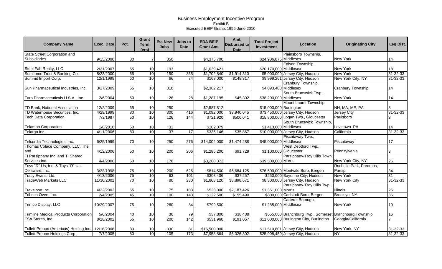| <b>Company Name</b>                          | <b>Exec. Date</b> | Pct. | <b>Grant</b><br><b>Term</b><br>(vrs) | <b>Est New</b><br><b>Jobs</b> | Jobs to<br><b>Date</b> | <b>EDA BEIP</b><br><b>Grant Amt</b> | Amt.<br><b>Disbursed to</b><br><b>Date</b> | <b>Total Project</b><br>Investment | Location                                                | <b>Originating City</b> | Leg Dist.      |
|----------------------------------------------|-------------------|------|--------------------------------------|-------------------------------|------------------------|-------------------------------------|--------------------------------------------|------------------------------------|---------------------------------------------------------|-------------------------|----------------|
| <b>State Street Corporation and</b>          |                   |      |                                      |                               |                        |                                     |                                            |                                    | Plainsboro Township,                                    |                         |                |
| Subsidiaries                                 | 9/15/2008         | 80   | 7                                    | 350                           |                        | \$4,375,700                         |                                            | \$24,936,875 Middlesex             |                                                         | <b>New York</b>         | 14             |
|                                              |                   |      |                                      |                               |                        |                                     |                                            |                                    | Edison Township,                                        |                         |                |
| Steel Fab Realty, LLC                        | 2/21/2007         | 55   | 10                                   | 193                           |                        | \$1,039,421                         |                                            | \$20,170,000 Middlesex             |                                                         | <b>New York</b>         | 18             |
| Sumitomo Trust & Banking Co.                 | 8/23/2000         | 65   | 10                                   | 150                           | 335                    | \$1,702,840                         | \$1,914,310                                |                                    | \$5,000,000 Jersey City, Hudson                         | <b>New York</b>         | 31-32-33       |
| Summit Import Corp.                          | 12/1/1998         | 60   | 10                                   | 66                            | 74                     | \$168,000                           | \$148,317                                  |                                    | \$9,999,261 Jersey City, Hudson                         | New York City, NY       | $31 - 32 - 33$ |
|                                              |                   |      |                                      |                               |                        |                                     |                                            |                                    | Cranbury Township,                                      |                         |                |
| Sun Pharmaceutical Industries, Inc.          | 3/27/2009         | 65   | 10                                   | 318                           |                        | \$2,382,217                         |                                            | \$4,093,400 Middlesex              |                                                         | Cranbury Township       | 14             |
|                                              |                   |      |                                      |                               |                        |                                     |                                            |                                    | South Brunswick Twp.,                                   |                         |                |
| Taro Pharmaceuticals U.S.A., Inc.            | 2/6/2004          | 50   | 10                                   | 26                            | 28                     | \$1,287,195                         | \$45,302                                   | \$38,200,000 Middlesex             |                                                         | New York                | 14             |
|                                              |                   |      |                                      |                               |                        |                                     |                                            |                                    | Mount Laurel Township,                                  |                         |                |
| TD Bank, National Association                | 12/2/2009         | 65   | 10                                   | 250                           |                        | \$2,587,812                         |                                            | \$15,000,000 Burlington            |                                                         | NH, MA, ME, PA          | 8              |
| TD Waterhouse Securities, Inc.               | 4/29/1999         | 80   | $\overline{10}$                      | 300                           | 416                    | \$1,092,000                         | \$3,940,045                                |                                    | \$73,450,000 Jersey City, Hudson                        | Jersey City             | $31 - 32 - 33$ |
| <b>Tech Data Corporation</b>                 | 7/3/1997          | 50   | 10                                   | 126                           | 144                    | \$721,920                           | \$500,041                                  |                                    | \$15,800,000 Logan Twp., Gloucester                     | Paulsboro               |                |
|                                              |                   |      |                                      |                               |                        |                                     |                                            |                                    | South Brunswick Township,                               |                         |                |
| <b>Telamon Corporation</b>                   | 1/8/2010          | 50   | 10                                   | 31                            |                        | \$102,079                           |                                            | \$1,413,000 Middlesex              |                                                         | Levittown PA            | 14             |
| Telargo Inc.                                 | 4/11/2006         | 80   | 10                                   | 37                            | 17                     | \$335,146                           | \$35,867                                   |                                    | \$10,000,000 Jersey City, Hudson                        | California              | $31 - 32 - 33$ |
|                                              |                   |      |                                      |                               |                        |                                     |                                            |                                    | Piscataway Twp.,                                        |                         |                |
| Telcordia Technologies, Inc.                 | 6/25/1999         | 70   | 10                                   | 250                           | 276                    | \$14,004,000                        | \$1,474,288                                | \$45,000,000 Middlesex             |                                                         | Piscataway              | 17             |
| Thomas Colace Company, LLC, The              |                   |      |                                      |                               |                        |                                     |                                            |                                    | West Deptford Twp.,                                     |                         |                |
| and                                          | 4/12/2006         | 50   | 10                                   | 200                           | 206                    | \$1,285,200                         | \$91,729                                   | \$1,100,000 Gloucester             |                                                         | Pennsylvania            | 3              |
| TI Parsippany Inc. and TI Shared             |                   |      |                                      |                               |                        |                                     |                                            |                                    | Parsippany-Troy Hills Town,                             |                         |                |
| Services Inc.                                | 4/4/2006          | 60   | 10                                   | 178                           |                        | \$3,288,372                         |                                            | \$39,500,000 Morris                |                                                         | New York City, NY       | 26             |
| Toys "R" Us, Inc. & Toys "R" Us-             |                   |      |                                      |                               |                        |                                     |                                            |                                    |                                                         | Rochelle Park, Paramus, |                |
| Delaware, Inc.                               | 3/23/1998         | 75   | 10                                   | 200                           | 626                    | \$814,500                           | \$6,684,125                                |                                    | \$76,500,000 Montvale Boro, Bergen                      | Parsip                  | 34             |
| Tracy Evans, Ltd.                            | 4/13/2006         | 75   | 10                                   | 63                            | 101                    | \$308,436                           | \$37,257                                   |                                    | \$250,000 Bayonne City, Hudson                          | <b>New York</b>         | 31             |
| <b>TradeWeb Markets LLC</b>                  | 11/30/2001        | 70   | 10                                   | 80                            | 230                    | \$1,863,120                         | \$8,898,671                                |                                    | \$8,300,000 Jersey City, Hudson                         | <b>New York City</b>    | 31-32-33       |
|                                              |                   |      |                                      |                               |                        |                                     |                                            |                                    | Parsippany-Troy Hills Twp.                              |                         |                |
| Travelport Inc.                              | 4/22/2002         | 55   | 10                                   | 75                            | 103                    | \$528,000                           | \$2,187,426                                | \$1,351,000 Morris                 |                                                         | Illinois                | 26             |
| Tribeca Oven, Inc.                           | 2/4/2005          | 45   | 10                                   | 100                           | 143                    | \$122,500                           | \$155,490                                  |                                    | \$800,000 Carlstadt Boro, Bergen                        | Brooklyn, NY            | 36             |
|                                              |                   |      |                                      |                               |                        |                                     |                                            |                                    | Carteret Borough,                                       |                         |                |
| Trimco Display, LLC                          | 10/29/2007        | 75   | 10                                   | 260                           | 84                     | \$799,500                           |                                            | \$1,285,000 Middlesex              |                                                         | New York                | 19             |
|                                              |                   |      |                                      |                               |                        |                                     |                                            |                                    |                                                         |                         |                |
| <b>Trimline Medical Products Corporation</b> | 5/6/2004          | 40   | 10                                   | 30                            | 79                     | \$37,800                            | \$38,488                                   |                                    | \$555,000 Branchburg Twp., Somerset Branchburg Township |                         | 16             |
| TSA Stores, Inc.                             | 8/28/2002         | 55   | 10                                   | 200                           | 142                    | \$531,960                           | \$191,057                                  |                                    | \$11,000,000 Burlington City, Burlington                | Georgia/California      |                |
|                                              |                   |      |                                      |                               |                        |                                     |                                            |                                    |                                                         |                         |                |
| Tullett Prebon (Americas) Holding Inc.       | 12/16/2008        | 80   | 10                                   | 330                           | 81                     | \$16,500,000                        |                                            |                                    | \$11,510,801 Jersey City, Hudson                        | New York, NY            | 31-32-33       |
| Tullett Prebon Holdings Corp.                | 7/7/2005          | 80   | 10                                   | 105                           | $\overline{173}$       | \$7,958,864                         | \$6,026,802                                |                                    | \$25,908,450 Jersey City, Hudson                        | <b>NY</b>               | $31 - 32 - 33$ |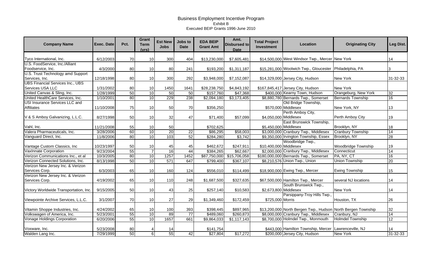| <b>Company Name</b>                     | <b>Exec. Date</b> | Pct. | Grant<br><b>Term</b><br>(vrs) | <b>Est New</b><br><b>Jobs</b> | Jobs to<br><b>Date</b> | <b>EDA BEIP</b><br><b>Grant Amt</b> | Amt.<br>Disbursed to<br><b>Date</b> | <b>Total Project</b><br><b>Investment</b> | Location                                                     | <b>Originating City</b>  | Leg Dist.       |
|-----------------------------------------|-------------------|------|-------------------------------|-------------------------------|------------------------|-------------------------------------|-------------------------------------|-------------------------------------------|--------------------------------------------------------------|--------------------------|-----------------|
| Tyco International, Inc.                | 6/12/2003         | 70   | 10                            | 300                           | 404                    | \$13,230,000                        | \$7,605,481                         |                                           | \$14,500,000 West Windsor Twp., Mercer New York              |                          | 14              |
| U.S. FoodService, Inc./Alliant          |                   |      |                               |                               |                        |                                     |                                     |                                           |                                                              |                          |                 |
| Foodservice, Inc.                       | 4/3/2000          | 80   | 10                            | 80                            | 241                    | \$193,200                           | \$1,311,187                         |                                           | \$15,281,000 Woolwich Twp., Gloucester Philadelphia, PA      |                          | 3               |
| U.S. Trust Technology amd Support       |                   |      |                               |                               |                        |                                     |                                     |                                           |                                                              |                          |                 |
| Services, Inc.                          | 12/18/1998        | 80   | 10                            | 300                           | 292                    | \$3,948,000                         | \$7,152,087                         |                                           | \$14,329,000 Jersey City, Hudson                             | <b>New York</b>          | 31-32-33        |
| <b>UBS Financial Services Inc., UBS</b> |                   |      |                               |                               |                        |                                     |                                     |                                           |                                                              |                          |                 |
| Services USA LLC                        | 1/31/2002         | 80   | 10                            | 1450                          | 1641                   | \$28,238,750                        | \$4,843,192                         |                                           | \$167,845,417 Jersey City, Hudson                            | <b>New York</b>          |                 |
| United Canvas & Sling, Inc.             | 1/28/1999         | 50   | 10                            | 50                            | 50                     | \$157,760                           | \$47,368                            |                                           | \$400,000 Kearny Town, Hudson                                | Orangeburg, New York     | 32              |
| United HealthCare Services, Inc.        | 1/10/2001         | 80   | 10                            | 229                           | 238                    | \$2,094,180                         | \$3,173,405                         |                                           | \$8,880,780 Bernards Twp., Somerset                          | <b>Bernards Township</b> | 16              |
| USI Insurance Services LLC and          |                   |      |                               |                               |                        |                                     |                                     |                                           | Old Bridge Township,                                         |                          |                 |
| <b>Affiliates</b>                       | 11/10/2008        | 75   | 10                            | 50                            | 70                     | \$356,250                           |                                     |                                           | \$570,000 Middlesex                                          | New York, NY             | 13              |
|                                         |                   |      |                               |                               |                        |                                     |                                     |                                           | Perth Amboy City,                                            |                          |                 |
| V & S Amboy Galvanizing, L.L.C.         | 8/27/1998         | 50   | 10 <sup>1</sup>               | 32                            | 47                     | \$71,400                            | \$57,099                            | \$4,050,000 Middlesex                     |                                                              | Perth Amboy City         | 19              |
|                                         |                   |      |                               |                               |                        |                                     |                                     |                                           | East Brunswick Township,                                     |                          |                 |
| Vahl, Inc.                              | 11/21/2008        | 55   | 10                            | 50                            |                        | \$702,625                           |                                     | \$5,450,000 Middlesex                     |                                                              | Brooklyn, NY             | 18              |
| Valera Pharmaceuticals, Inc.            | 3/28/2006         | 60   | 10                            | 20                            | 22                     | \$86,295                            | \$58,003                            |                                           | \$3,000,000 Cranbury Twp., Middlesex                         | <b>Cranbury Township</b> | 14              |
| Vanguard Direct, Inc.                   | 11/8/2006         | 80   | 10                            | 103                           | 52                     | \$284,280                           | \$3,742                             |                                           | \$9,350,000 Irvington Township, Essex                        | Brooklyn, NY             | $\overline{28}$ |
|                                         |                   |      |                               |                               |                        |                                     |                                     |                                           | Woodbridge Twp.,                                             |                          |                 |
| Vantage Custom Classics, Inc.           | 10/23/1997        | 50   | 10                            | 45                            | 45                     | \$462,672                           | \$247,911                           | \$10,400,000 Middlesex                    |                                                              | Woodbridge Township      | 19              |
| <b>VaxInnate Corporation</b>            | 9/23/2004         | 55   | $\overline{7}$                | 16                            | 44                     | \$384,265                           | \$62,667                            |                                           | \$2,000,000 Cranbury Twp., Middlesex                         | Connecticut              | 14              |
| Verizon Communications Inc., et al      | 10/3/2005         | 80   | 10                            | 1257                          | 1452                   | \$87,750,000                        | \$15,706,058                        |                                           | \$180,000,000 Bernards Twp., Somerset                        | PA, NY, CT               | 16              |
| Verizon Connected Solutions, Inc.       | 8/13/1998         | 50   | 10                            | 571                           | 647                    | \$799,400                           | \$367,107                           |                                           | \$8,210,576 Union Twp., Union                                | <b>Union Township</b>    | 20              |
| Verizon New Jersey Inc. & Verizon       |                   |      |                               |                               |                        |                                     |                                     |                                           |                                                              |                          |                 |
| Services Corp.                          | 6/3/2003          | 65   | 10                            | 160                           | 124                    | \$556,010                           | \$114,499                           |                                           | \$18,900,000 Ewing Twp., Mercer                              | <b>Ewing Township</b>    | 15              |
| Verizon New Jersey Inc. & Verizon       |                   |      |                               |                               |                        |                                     |                                     |                                           |                                                              |                          |                 |
| Services Corp.                          | 4/19/2002         | 65   | 10                            | 110                           | 248                    | \$1,687,500                         | \$327,635                           |                                           | \$67,500,000 Hamilton Twp., Mercer                           | several NJ locations     | 14              |
|                                         |                   |      |                               |                               |                        |                                     |                                     |                                           | South Brunswick Twp.,                                        |                          |                 |
| Victory Worldwide Transportation, Inc.  | 9/15/2005         | 50   | 10                            | 43                            | 25                     | \$257,140                           | \$10,583                            | \$2,673,800 Middlesex                     |                                                              | <b>New York</b>          | 14              |
|                                         |                   |      |                               |                               |                        |                                     |                                     |                                           | Parsippany-Troy Hills Twp.,                                  |                          |                 |
| Viewpointe Archive Services, L.L.C.     | 3/1/2007          | 70   | 10                            | 27                            | 29                     | \$1,349,460                         | \$172,459                           | \$725,000 Morris                          |                                                              | Houston, TX              | 26              |
|                                         |                   |      |                               |                               |                        |                                     |                                     |                                           |                                                              |                          |                 |
| Vitamin Shoppe Industries, Inc.         | 4/24/2002         | 65   | 10                            | 100                           | 393                    | \$398,445                           | \$897,965                           |                                           | \$13,200,000 North Bergen Twp., Hudson North Bergen Township |                          | 32              |
| Volkswagen of America, Inc.             | 5/23/2001         | 55   | 10                            | 89                            | $\overline{77}$        | \$489,060                           | \$260,873                           |                                           | \$8,000,000 Cranbury Twp., Middlesex                         | Cranbury, NJ             | 14              |
| Vonage Holdings Corporation             | 6/20/2006         | 55   | 10                            | 1657                          | 661                    | \$9,864,033                         | \$1,117,143                         |                                           | \$8,700,000 Holmdel Twp., Monmouth                           | <b>Holmdel Township</b>  | 12              |
|                                         |                   |      |                               |                               |                        |                                     |                                     |                                           |                                                              |                          |                 |
| Voxware, Inc.                           | 5/23/2008         | 80   |                               | 14                            |                        | \$141,754                           |                                     |                                           | \$443,000 Hamilton Township, Mercer Lawrenceville, NJ        |                          | 14              |
| Walden Lang Inc.                        | 7/29/1999         | 50   | $6 \mid$                      | 55                            | 42                     | \$27,804                            | \$17,272                            |                                           | \$200,000 Jersey City, Hudson                                | <b>New York</b>          | 31-32-33        |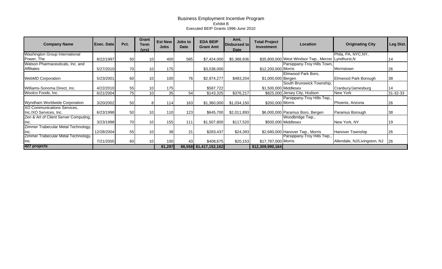| <b>Company Name</b>                   | Exec. Date | Pct. | Grant<br>Term<br><u>(vrs)</u> | <b>Est New</b><br>Jobs | Jobs to<br><b>Date</b> | <b>EDA BEIP</b><br><b>Grant Amt</b> | Amt.<br>Disbursed to<br>Date | <b>Total Project</b><br><b>Investment</b> | Location                                            | <b>Originating City</b>      | Leg Dist. |
|---------------------------------------|------------|------|-------------------------------|------------------------|------------------------|-------------------------------------|------------------------------|-------------------------------------------|-----------------------------------------------------|------------------------------|-----------|
| Washington Group International        |            |      |                               |                        |                        |                                     |                              |                                           |                                                     | Phila, PA, NYC, NY,          |           |
| Power, The                            | 8/22/1997  | 50   | 10                            | 400                    | 585                    | \$7,424,000                         | \$5,388,836                  |                                           | \$35,800,000 West Windsor Twp., Mercer Lyndhurst, N |                              |           |
| Watson Pharmaceuticals, Inc. and      |            |      |                               |                        |                        |                                     |                              |                                           | Parsippany-Troy Hills Town,                         |                              |           |
| Affiliates                            | 5/27/2010  | 70   | 10                            | 175                    |                        | \$3,038,000                         |                              | \$12,200,000 Morris                       |                                                     | Morristown                   | 26        |
|                                       |            |      |                               |                        |                        |                                     |                              |                                           | Elmwood Park Boro,                                  |                              |           |
| <b>WebMD Corporation</b>              | 5/23/2001  | 60   | 10                            | 100                    | 76                     | \$2,974,277                         | \$483,204                    | \$1,000,000 Bergen                        |                                                     | Elmwood Park Borough         | 38        |
|                                       |            |      |                               |                        |                        |                                     |                              |                                           | South Brunswick Township,                           |                              |           |
| Williams-Sonoma Direct, Inc.          | 4/22/2010  | 55   | 10                            | 175                    |                        | \$587,722                           |                              | \$1,500,000 Middlesex                     |                                                     | Cranbury/Jamesburg           | 14        |
| Woolco Foods, Inc.                    | 6/21/2004  | 75   | 10                            | 35                     | 54                     | \$143,325                           | \$376,217                    |                                           | \$825,000 Jersey City, Hudson                       | New York                     | 31-32-33  |
|                                       |            |      |                               |                        |                        |                                     |                              |                                           | Parsippany-Troy Hills Twp.,                         |                              |           |
| Wyndham Worldwide Corporation         | 3/20/2002  | 50   |                               | 114                    | 163                    | \$1,360,000                         | \$1,034,150                  | \$200,000 Morris                          |                                                     | Phoenix, Arizona             | 26        |
| XO Communications Services,           |            |      |                               |                        |                        |                                     |                              |                                           |                                                     |                              |           |
| Inc./XO Services, Inc.                | 6/23/1998  | 50   | 10                            | 110                    | 123                    | \$645,700                           | \$2,011,893                  |                                           | \$6,000,000 Paramus Boro, Bergen                    | Paramus Borough              | 38        |
| Zen & Art of Client Server Computing, |            |      |                               |                        |                        |                                     |                              |                                           | Woodbridge Twp.,                                    |                              |           |
| Inc.                                  | 3/23/1998  | 70   | 10                            | 155                    | 111                    | \$1,507,800                         | \$117,520                    |                                           | \$500,000 Middlesex                                 | New York, NY                 | 19        |
| Zimmer Trabecular Metal Technology,   |            |      |                               |                        |                        |                                     |                              |                                           |                                                     |                              |           |
| Inc.                                  | 12/28/2004 | 55   | 10                            | 38                     | 21                     | \$283,437                           | \$24,393                     |                                           | \$2,680,000 Hanover Twp., Morris                    | <b>Hanover Township</b>      | 26        |
| Zimmer Trabecular Metal Technology,   |            |      |                               |                        |                        |                                     |                              |                                           | Parsippany-Troy Hills Twp.,                         |                              |           |
| Inc.                                  | 7/21/2005  | 60   | 10                            | 100                    | 43                     | \$408,675                           | \$20,153                     | \$17,787,000 Morris                       |                                                     | Allendale, NJ/Livingston, NJ | 126       |
| 427 projects                          |            |      |                               | 81,297                 |                        | 86,558 \$1,417,152,162              |                              | \$12,309,990,164                          |                                                     |                              |           |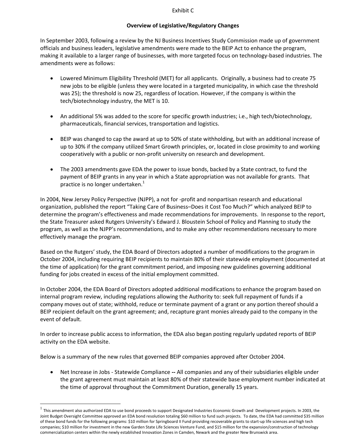#### Exhibit C

#### **Overview of Legislative/Regulatory Changes**

In September 2003, following a review by the NJ Business Incentives Study Commission made up of government officials and business leaders, legislative amendments were made to the BEIP Act to enhance the program, making it available to a larger range of businesses, with more targeted focus on technology‐based industries. The amendments were as follows:

- Lowered Minimum Eligibility Threshold (MET) for all applicants. Originally, a business had to create 75 new jobs to be eligible (unless they were located in a targeted municipality, in which case the threshold was 25); the threshold is now 25, regardless of location. However, if the company is within the tech/biotechnology industry, the MET is 10.
- An additional 5% was added to the score for specific growth industries; i.e., high tech/biotechnology, pharmaceuticals, financial services, transportation and logistics.
- BEIP was changed to cap the award at up to 50% of state withholding, but with an additional increase of up to 30% if the company utilized Smart Growth principles, or, located in close proximity to and working cooperatively with a public or non‐profit university on research and development.
- The 2003 amendments gave EDA the power to issue bonds, backed by a State contract, to fund the payment of BEIP grants in any year in which a State appropriation was not available for grants. That practice is no longer undertaken.<sup>1</sup>

In 2004, New Jersey Policy Perspective (NJPP), a not for ‐profit and nonpartisan research and educational organization, published the report "Taking Care of Business–Does it Cost Too Much?" which analyzed BEIP to determine the program's effectiveness and made recommendations for improvements. In response to the report, the State Treasurer asked Rutgers University's Edward J. Bloustein School of Policy and Planning to study the program, as well as the NJPP's recommendations, and to make any other recommendations necessary to more effectively manage the program.

Based on the Rutgers' study, the EDA Board of Directors adopted a number of modifications to the program in October 2004, including requiring BEIP recipients to maintain 80% of their statewide employment (documented at the time of application) for the grant commitment period, and imposing new guidelines governing additional funding for jobs created in excess of the initial employment committed.

In October 2004, the EDA Board of Directors adopted additional modifications to enhance the program based on internal program review, including regulations allowing the Authority to: seek full repayment of funds if a company moves out of state; withhold, reduce or terminate payment of a grant or any portion thereof should a BEIP recipient default on the grant agreement; and, recapture grant monies already paid to the company in the event of default.

In order to increase public access to information, the EDA also began posting regularly updated reports of BEIP activity on the EDA website.

Below is a summary of the new rules that governed BEIP companies approved after October 2004.

 $\overline{a}$ 

• Net Increase in Jobs ‐ Statewide Compliance **‐‐** All companies and any of their subsidiaries eligible under the grant agreement must maintain at least 80% of their statewide base employment number indicated at the time of approval throughout the Commitment Duration, generally 15 years.

 $<sup>1</sup>$  This amendment also authorized EDA to use bond proceeds to support Designated Industries Economic Growth and Development projects. In 2003, the</sup> Joint Budget Oversight Committee approved an EDA bond resolution totaling \$60 million to fund such projects. To date, the EDA had committed \$35 million of these bond funds for the following programs: \$10 million for Springboard II Fund providing recoverable grants to start‐up life sciences and high tech companies; \$10 million for investment in the new Garden State Life Sciences Venture Fund, and \$15 million for the expansion/construction of technology commercialization centers within the newly established Innovation Zones in Camden, Newark and the greater New Brunswick area.